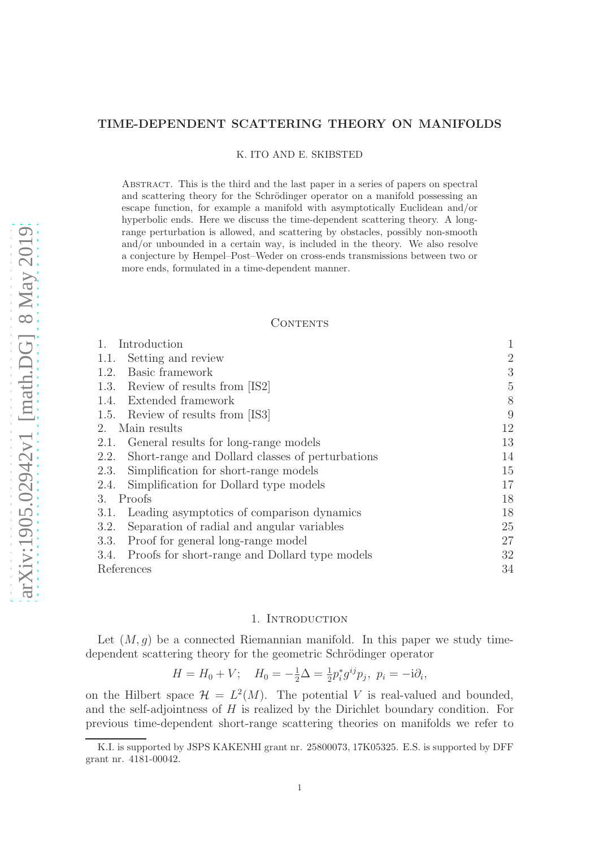# TIME-DEPENDENT SCATTERING THEORY ON MANIFOLDS

K. ITO AND E. SKIBSTED

Abstract. This is the third and the last paper in a series of papers on spectral and scattering theory for the Schrödinger operator on a manifold possessing an escape function, for example a manifold with asymptotically Euclidean and/or hyperbolic ends. Here we discuss the time-dependent scattering theory. A longrange perturbation is allowed, and scattering by obstacles, possibly non-smooth and/or unbounded in a certain way, is included in the theory. We also resolve a conjecture by Hempel–Post–Weder on cross-ends transmissions between two or more ends, formulated in a time-dependent manner.

### **CONTENTS**

| Introduction                                             |                |
|----------------------------------------------------------|----------------|
| Setting and review<br>1.1.                               | $\overline{2}$ |
| Basic framework<br>1.2.                                  | 3              |
| 1.3. Review of results from [IS2]                        | 5              |
| Extended framework<br>1.4.                               | 8              |
| 1.5. Review of results from [IS3]                        | 9              |
| Main results<br>2.                                       | 12             |
| General results for long-range models<br>2.1.            | 13             |
| Short-range and Dollard classes of perturbations<br>2.2. | 14             |
| Simplification for short-range models<br>2.3.            | 15             |
| Simplification for Dollard type models<br>2.4.           | 17             |
| Proofs<br>3.                                             | 18             |
| Leading asymptotics of comparison dynamics<br>3.1.       | 18             |
| Separation of radial and angular variables<br>3.2.       | 25             |
| Proof for general long-range model<br>3.3.               | 27             |
| Proofs for short-range and Dollard type models<br>3.4.   | 32             |
| References                                               | 34             |

### 1. INTRODUCTION

Let  $(M, q)$  be a connected Riemannian manifold. In this paper we study timedependent scattering theory for the geometric Schrödinger operator

$$
H = H_0 + V; \quad H_0 = -\frac{1}{2}\Delta = \frac{1}{2}p_i^*g^{ij}p_j, \ p_i = -i\partial_i,
$$

on the Hilbert space  $\mathcal{H} = L^2(M)$ . The potential V is real-valued and bounded, and the self-adjointness of  $H$  is realized by the Dirichlet boundary condition. For previous time-dependent short-range scattering theories on manifolds we refer to

K.I. is supported by JSPS KAKENHI grant nr. 25800073, 17K05325. E.S. is supported by DFF grant nr. 4181-00042.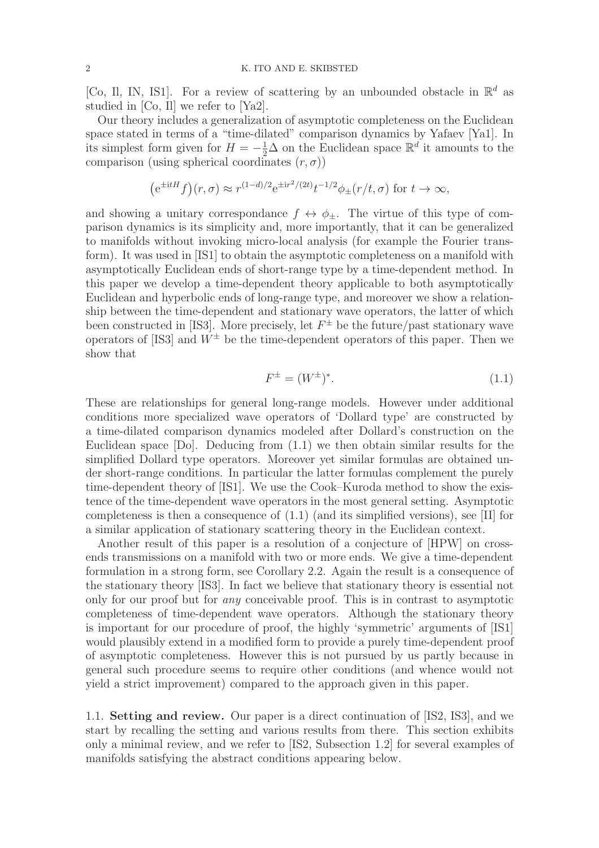[Co, Il, IN, IS1]. For a review of scattering by an unbounded obstacle in  $\mathbb{R}^d$  as studied in [Co, Il] we refer to [Ya2].

Our theory includes a generalization of asymptotic completeness on the Euclidean space stated in terms of a "time-dilated" comparison dynamics by Yafaev [Ya1]. In its simplest form given for  $H = -\frac{1}{2}\Delta$  on the Euclidean space  $\mathbb{R}^d$  it amounts to the comparison (using spherical coordinates  $(r, \sigma)$ )

$$
\left(e^{\pm itH}f\right)(r,\sigma) \approx r^{(1-d)/2}e^{\pm ir^2/(2t)}t^{-1/2}\phi_{\pm}(r/t,\sigma) \text{ for } t \to \infty,
$$

and showing a unitary correspondance  $f \leftrightarrow \phi_{\pm}$ . The virtue of this type of comparison dynamics is its simplicity and, more importantly, that it can be generalized to manifolds without invoking micro-local analysis (for example the Fourier transform). It was used in [IS1] to obtain the asymptotic completeness on a manifold with asymptotically Euclidean ends of short-range type by a time-dependent method. In this paper we develop a time-dependent theory applicable to both asymptotically Euclidean and hyperbolic ends of long-range type, and moreover we show a relationship between the time-dependent and stationary wave operators, the latter of which been constructed in [IS3]. More precisely, let  $F^{\pm}$  be the future/past stationary wave operators of [IS3] and  $W^{\pm}$  be the time-dependent operators of this paper. Then we show that

$$
F^{\pm} = (W^{\pm})^*.
$$
 (1.1)

These are relationships for general long-range models. However under additional conditions more specialized wave operators of 'Dollard type' are constructed by a time-dilated comparison dynamics modeled after Dollard's construction on the Euclidean space [Do]. Deducing from (1.1) we then obtain similar results for the simplified Dollard type operators. Moreover yet similar formulas are obtained under short-range conditions. In particular the latter formulas complement the purely time-dependent theory of [IS1]. We use the Cook–Kuroda method to show the existence of the time-dependent wave operators in the most general setting. Asymptotic completeness is then a consequence of (1.1) (and its simplified versions), see [II] for a similar application of stationary scattering theory in the Euclidean context.

Another result of this paper is a resolution of a conjecture of [HPW] on crossends transmissions on a manifold with two or more ends. We give a time-dependent formulation in a strong form, see Corollary 2.2. Again the result is a consequence of the stationary theory [IS3]. In fact we believe that stationary theory is essential not only for our proof but for any conceivable proof. This is in contrast to asymptotic completeness of time-dependent wave operators. Although the stationary theory is important for our procedure of proof, the highly 'symmetric' arguments of [IS1] would plausibly extend in a modified form to provide a purely time-dependent proof of asymptotic completeness. However this is not pursued by us partly because in general such procedure seems to require other conditions (and whence would not yield a strict improvement) compared to the approach given in this paper.

1.1. Setting and review. Our paper is a direct continuation of [IS2, IS3], and we start by recalling the setting and various results from there. This section exhibits only a minimal review, and we refer to [IS2, Subsection 1.2] for several examples of manifolds satisfying the abstract conditions appearing below.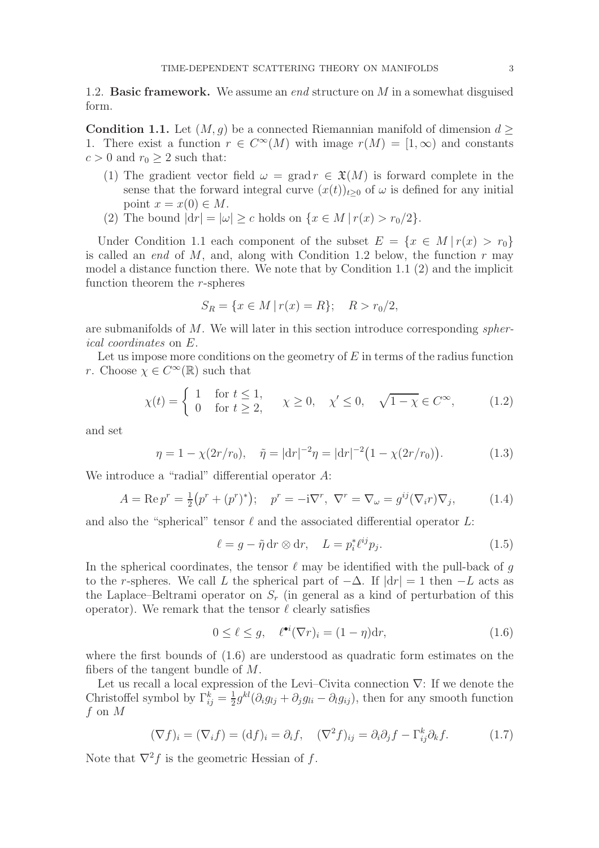1.2. **Basic framework.** We assume an *end* structure on  $M$  in a somewhat disguised form.

**Condition 1.1.** Let  $(M, q)$  be a connected Riemannian manifold of dimension  $d \geq$ 1. There exist a function  $r \in C^{\infty}(M)$  with image  $r(M) = [1, \infty)$  and constants  $c > 0$  and  $r_0 \geq 2$  such that:

- (1) The gradient vector field  $\omega = \text{grad } r \in \mathfrak{X}(M)$  is forward complete in the sense that the forward integral curve  $(x(t))_{t>0}$  of  $\omega$  is defined for any initial point  $x = x(0) \in M$ .
- (2) The bound  $|dr| = |\omega| \geq c$  holds on  $\{x \in M \mid r(x) > r_0/2\}.$

Under Condition 1.1 each component of the subset  $E = \{x \in M | r(x) > r_0\}$ is called an *end* of  $M$ , and, along with Condition 1.2 below, the function  $r$  may model a distance function there. We note that by Condition 1.1 (2) and the implicit function theorem the r-spheres

$$
S_R = \{ x \in M \mid r(x) = R \}; \quad R > r_0/2,
$$

are submanifolds of M. We will later in this section introduce corresponding spherical coordinates on E.

Let us impose more conditions on the geometry of  $E$  in terms of the radius function r. Choose  $\chi \in C^{\infty}(\mathbb{R})$  such that

$$
\chi(t) = \begin{cases} 1 & \text{for } t \le 1, \\ 0 & \text{for } t \ge 2, \end{cases} \quad \chi \ge 0, \quad \chi' \le 0, \quad \sqrt{1 - \chi} \in C^{\infty}, \tag{1.2}
$$

and set

$$
\eta = 1 - \chi(2r/r_0), \quad \tilde{\eta} = |\mathrm{d}r|^{-2} \eta = |\mathrm{d}r|^{-2} \big(1 - \chi(2r/r_0)\big). \tag{1.3}
$$

We introduce a "radial" differential operator A:

$$
A = \text{Re } p^r = \frac{1}{2} (p^r + (p^r)^*); \quad p^r = -i\nabla^r, \ \nabla^r = \nabla_\omega = g^{ij} (\nabla_i r) \nabla_j,
$$
 (1.4)

and also the "spherical" tensor  $\ell$  and the associated differential operator L:

$$
\ell = g - \tilde{\eta} \, dr \otimes dr, \quad L = p_i^* \ell^{ij} p_j. \tag{1.5}
$$

In the spherical coordinates, the tensor  $\ell$  may be identified with the pull-back of g to the r-spheres. We call L the spherical part of  $-\Delta$ . If  $|dr| = 1$  then  $-L$  acts as the Laplace–Beltrami operator on  $S_r$  (in general as a kind of perturbation of this operator). We remark that the tensor  $\ell$  clearly satisfies

$$
0 \le \ell \le g, \quad \ell^{\bullet i}(\nabla r)_i = (1 - \eta) \mathrm{d} r,\tag{1.6}
$$

where the first bounds of (1.6) are understood as quadratic form estimates on the fibers of the tangent bundle of M.

Let us recall a local expression of the Levi–Civita connection  $\nabla$ : If we denote the Christoffel symbol by  $\Gamma_{ij}^k = \frac{1}{2}$  $\frac{1}{2}g^{kl}(\partial_i g_{lj} + \partial_j g_{li} - \partial_l g_{ij}),$  then for any smooth function f on M

$$
(\nabla f)_i = (\nabla_i f) = (\mathrm{d} f)_i = \partial_i f, \quad (\nabla^2 f)_{ij} = \partial_i \partial_j f - \Gamma^k_{ij} \partial_k f. \tag{1.7}
$$

Note that  $\nabla^2 f$  is the geometric Hessian of f.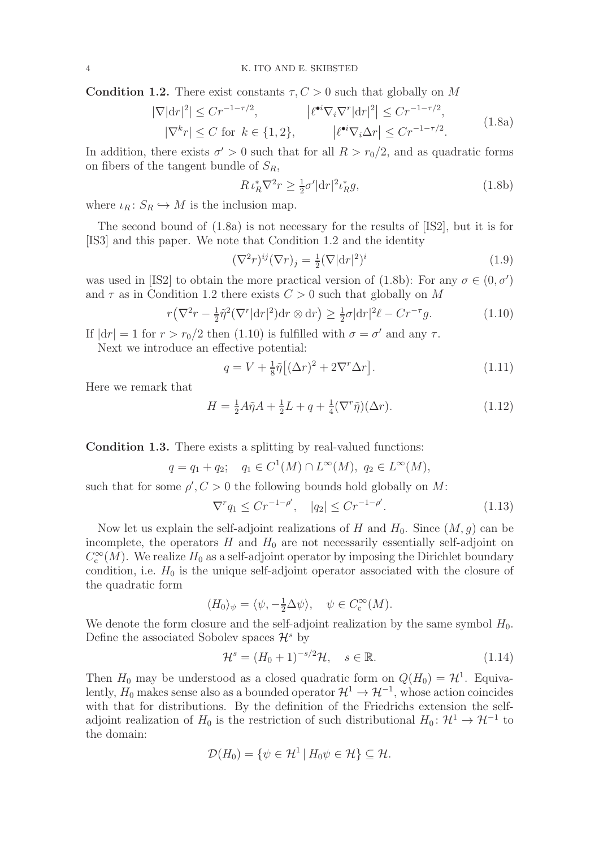**Condition 1.2.** There exist constants  $\tau, C > 0$  such that globally on M

$$
|\nabla |\mathrm{d}r|^2| \le Cr^{-1-\tau/2}, \qquad |\ell^{\bullet i} \nabla_i \nabla^r |\mathrm{d}r|^2| \le Cr^{-1-\tau/2},
$$
  

$$
|\nabla^k r| \le C \text{ for } k \in \{1, 2\}, \qquad |\ell^{\bullet i} \nabla_i \Delta r| \le Cr^{-1-\tau/2}.
$$
 (1.8a)

In addition, there exists  $\sigma' > 0$  such that for all  $R > r_0/2$ , and as quadratic forms on fibers of the tangent bundle of  $S_R$ ,

$$
R \iota_R^* \nabla^2 r \ge \frac{1}{2} \sigma' |\mathrm{d}r|^2 \iota_R^* g,\tag{1.8b}
$$

where  $\iota_R: S_R \hookrightarrow M$  is the inclusion map.

The second bound of (1.8a) is not necessary for the results of [IS2], but it is for [IS3] and this paper. We note that Condition 1.2 and the identity

$$
(\nabla^2 r)^{ij} (\nabla r)_j = \frac{1}{2} (\nabla |\mathrm{d} r|^2)^i \tag{1.9}
$$

was used in [IS2] to obtain the more practical version of (1.8b): For any  $\sigma \in (0, \sigma')$ and  $\tau$  as in Condition 1.2 there exists  $C > 0$  such that globally on M

$$
r\left(\nabla^2 r - \frac{1}{2}\tilde{\eta}^2(\nabla^r|\mathrm{d}r|^2)\mathrm{d}r\otimes\mathrm{d}r\right) \ge \frac{1}{2}\sigma|\mathrm{d}r|^2\ell - Cr^{-\tau}g. \tag{1.10}
$$

If  $|dr| = 1$  for  $r > r_0/2$  then (1.10) is fulfilled with  $\sigma = \sigma'$  and any  $\tau$ . Next we introduce an effective potential:

$$
q = V + \frac{1}{8}\tilde{\eta}\left[ (\Delta r)^2 + 2\nabla^r \Delta r \right].
$$
\n(1.11)

Here we remark that

$$
H = \frac{1}{2}A\tilde{\eta}A + \frac{1}{2}L + q + \frac{1}{4}(\nabla^r \tilde{\eta})(\Delta r).
$$
 (1.12)

Condition 1.3. There exists a splitting by real-valued functions:

$$
q = q_1 + q_2;
$$
  $q_1 \in C^1(M) \cap L^{\infty}(M), q_2 \in L^{\infty}(M),$ 

such that for some  $\rho'$ ,  $C > 0$  the following bounds hold globally on M:

$$
\nabla^r q_1 \leq C r^{-1-\rho'}, \quad |q_2| \leq C r^{-1-\rho'}.
$$
\n(1.13)

Now let us explain the self-adjoint realizations of H and  $H_0$ . Since  $(M, g)$  can be incomplete, the operators  $H$  and  $H_0$  are not necessarily essentially self-adjoint on  $C_c^{\infty}(M)$ . We realize  $H_0$  as a self-adjoint operator by imposing the Dirichlet boundary condition, i.e.  $H_0$  is the unique self-adjoint operator associated with the closure of the quadratic form

$$
\langle H_0 \rangle_{\psi} = \langle \psi, -\frac{1}{2} \Delta \psi \rangle, \quad \psi \in C_c^{\infty}(M).
$$

We denote the form closure and the self-adjoint realization by the same symbol  $H_0$ . Define the associated Sobolev spaces  $\mathcal{H}^s$  by

$$
\mathcal{H}^s = (H_0 + 1)^{-s/2} \mathcal{H}, \quad s \in \mathbb{R}.\tag{1.14}
$$

Then  $H_0$  may be understood as a closed quadratic form on  $Q(H_0) = \mathcal{H}^1$ . Equivalently,  $H_0$  makes sense also as a bounded operator  $\mathcal{H}^1 \to \mathcal{H}^{-1}$ , whose action coincides with that for distributions. By the definition of the Friedrichs extension the selfadjoint realization of  $H_0$  is the restriction of such distributional  $H_0: \mathcal{H}^1 \to \mathcal{H}^{-1}$  to the domain:

$$
\mathcal{D}(H_0) = \{ \psi \in \mathcal{H}^1 \mid H_0 \psi \in \mathcal{H} \} \subseteq \mathcal{H}.
$$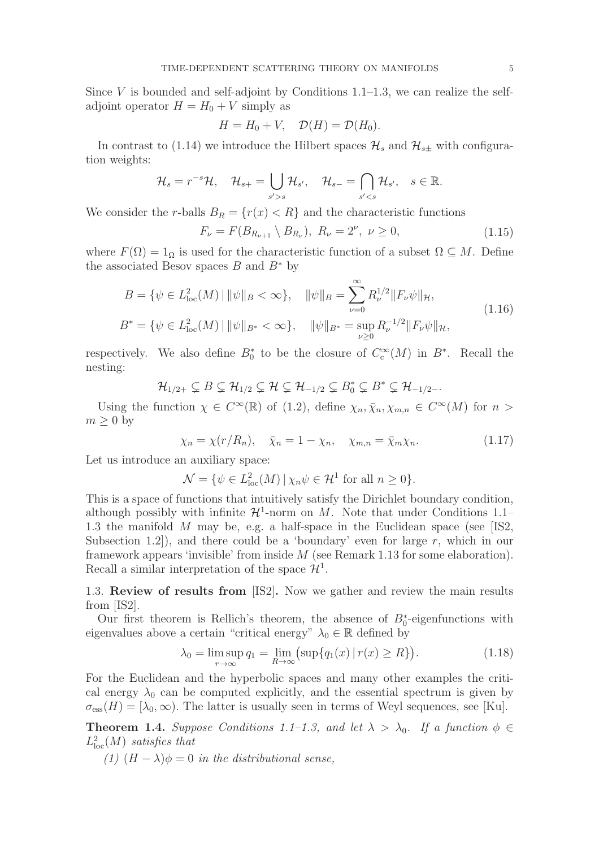Since V is bounded and self-adjoint by Conditions  $1.1-1.3$ , we can realize the selfadjoint operator  $H = H_0 + V$  simply as

$$
H = H_0 + V, \quad \mathcal{D}(H) = \mathcal{D}(H_0).
$$

In contrast to (1.14) we introduce the Hilbert spaces  $\mathcal{H}_s$  and  $\mathcal{H}_{s\pm}$  with configuration weights:

$$
\mathcal{H}_s = r^{-s} \mathcal{H}, \quad \mathcal{H}_{s+} = \bigcup_{s' > s} \mathcal{H}_{s'}, \quad \mathcal{H}_{s-} = \bigcap_{s' < s} \mathcal{H}_{s'}, \quad s \in \mathbb{R}.
$$

We consider the r-balls  $B_R = \{r(x) < R\}$  and the characteristic functions

$$
F_{\nu} = F(B_{R_{\nu+1}} \setminus B_{R_{\nu}}), \ R_{\nu} = 2^{\nu}, \ \nu \ge 0,
$$
\n(1.15)

where  $F(\Omega) = 1_{\Omega}$  is used for the characteristic function of a subset  $\Omega \subseteq M$ . Define the associated Besov spaces B and  $B^*$  by

$$
B = \{ \psi \in L_{\text{loc}}^2(M) \mid ||\psi||_B < \infty \}, \quad ||\psi||_B = \sum_{\nu=0}^{\infty} R_{\nu}^{1/2} ||F_{\nu}\psi||_{\mathcal{H}},
$$
  

$$
B^* = \{ \psi \in L_{\text{loc}}^2(M) \mid ||\psi||_{B^*} < \infty \}, \quad ||\psi||_{B^*} = \sup_{\nu \ge 0} R_{\nu}^{-1/2} ||F_{\nu}\psi||_{\mathcal{H}},
$$
(1.16)

respectively. We also define  $B_0^*$  to be the closure of  $C_c^{\infty}(M)$  in  $B^*$ . Recall the nesting:

$$
\mathcal{H}_{1/2+} \subsetneq B \subsetneq \mathcal{H}_{1/2} \subsetneq \mathcal{H} \subsetneq \mathcal{H}_{-1/2} \subsetneq B_0^* \subsetneq B^* \subsetneq \mathcal{H}_{-1/2-}.
$$

Using the function  $\chi \in C^{\infty}(\mathbb{R})$  of (1.2), define  $\chi_n, \bar{\chi}_n, \chi_{m,n} \in C^{\infty}(M)$  for  $n >$  $m \geq 0$  by

$$
\chi_n = \chi(r/R_n), \quad \bar{\chi}_n = 1 - \chi_n, \quad \chi_{m,n} = \bar{\chi}_m \chi_n. \tag{1.17}
$$

Let us introduce an auxiliary space:

$$
\mathcal{N} = \{ \psi \in L^2_{\text{loc}}(M) \, | \, \chi_n \psi \in \mathcal{H}^1 \text{ for all } n \ge 0 \}.
$$

This is a space of functions that intuitively satisfy the Dirichlet boundary condition, although possibly with infinite  $\mathcal{H}^1$ -norm on M. Note that under Conditions 1.1– 1.3 the manifold  $M$  may be, e.g. a half-space in the Euclidean space (see [IS2, Subsection 1.2.), and there could be a 'boundary' even for large  $r$ , which in our framework appears 'invisible' from inside M (see Remark 1.13 for some elaboration). Recall a similar interpretation of the space  $\mathcal{H}^1$ .

1.3. Review of results from [IS2]. Now we gather and review the main results from [IS2].

Our first theorem is Rellich's theorem, the absence of  $B_0^*$ -eigenfunctions with eigenvalues above a certain "critical energy"  $\lambda_0 \in \mathbb{R}$  defined by

$$
\lambda_0 = \limsup_{r \to \infty} q_1 = \lim_{R \to \infty} \left( \sup \{ q_1(x) \mid r(x) \ge R \} \right). \tag{1.18}
$$

For the Euclidean and the hyperbolic spaces and many other examples the critical energy  $\lambda_0$  can be computed explicitly, and the essential spectrum is given by  $\sigma_{\rm ess}(H) = [\lambda_0, \infty)$ . The latter is usually seen in terms of Weyl sequences, see [Ku].

**Theorem 1.4.** Suppose Conditions 1.1–1.3, and let  $\lambda > \lambda_0$ . If a function  $\phi \in$  $L^2_{\text{loc}}(M)$  satisfies that

(1)  $(H - \lambda)\phi = 0$  in the distributional sense,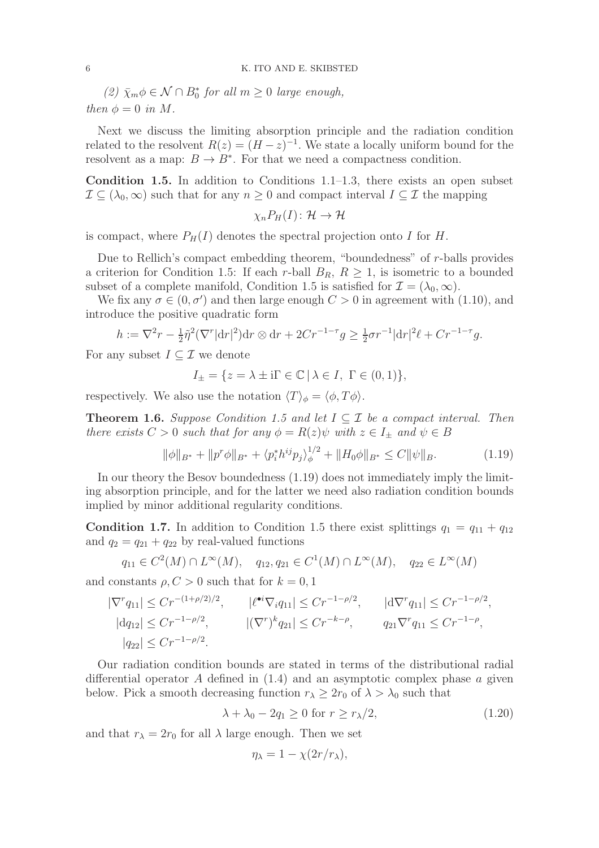(2)  $\bar{\chi}_m \phi \in \mathcal{N} \cap B_0^*$  for all  $m \geq 0$  large enough, then  $\phi = 0$  in M.

Next we discuss the limiting absorption principle and the radiation condition related to the resolvent  $R(z) = (H - z)^{-1}$ . We state a locally uniform bound for the resolvent as a map:  $B \to B^*$ . For that we need a compactness condition.

**Condition 1.5.** In addition to Conditions 1.1–1.3, there exists an open subset  $\mathcal{I} \subseteq (\lambda_0, \infty)$  such that for any  $n \geq 0$  and compact interval  $I \subseteq \mathcal{I}$  the mapping

$$
\chi_n P_H(I) \colon \mathcal{H} \to \mathcal{H}
$$

is compact, where  $P_H(I)$  denotes the spectral projection onto I for H.

Due to Rellich's compact embedding theorem, "boundedness" of r-balls provides a criterion for Condition 1.5: If each r-ball  $B_R$ ,  $R \geq 1$ , is isometric to a bounded subset of a complete manifold, Condition 1.5 is satisfied for  $\mathcal{I} = (\lambda_0, \infty)$ .

We fix any  $\sigma \in (0, \sigma')$  and then large enough  $C > 0$  in agreement with (1.10), and introduce the positive quadratic form

$$
h := \nabla^2 r - \frac{1}{2} \tilde{\eta}^2 (\nabla^r |\mathrm{d}r|^2) \mathrm{d}r \otimes \mathrm{d}r + 2Cr^{-1-\tau} g \ge \frac{1}{2} \sigma r^{-1} |\mathrm{d}r|^2 \ell + Cr^{-1-\tau} g.
$$

For any subset  $I \subseteq \mathcal{I}$  we denote

$$
I_{\pm} = \{ z = \lambda \pm i\Gamma \in \mathbb{C} \mid \lambda \in I, \ \Gamma \in (0,1) \},
$$

respectively. We also use the notation  $\langle T \rangle_{\phi} = \langle \phi, T\phi \rangle$ .

**Theorem 1.6.** Suppose Condition 1.5 and let  $I \subseteq \mathcal{I}$  be a compact interval. Then there exists  $C > 0$  such that for any  $\phi = R(z)\psi$  with  $z \in I_{\pm}$  and  $\psi \in B$ 

$$
\|\phi\|_{B^*} + \|p^r\phi\|_{B^*} + \langle p_i^* h^{ij} p_j \rangle_{\phi}^{1/2} + \|H_0 \phi\|_{B^*} \le C \|\psi\|_{B}.
$$
 (1.19)

In our theory the Besov boundedness (1.19) does not immediately imply the limiting absorption principle, and for the latter we need also radiation condition bounds implied by minor additional regularity conditions.

**Condition 1.7.** In addition to Condition 1.5 there exist splittings  $q_1 = q_{11} + q_{12}$ and  $q_2 = q_{21} + q_{22}$  by real-valued functions

$$
q_{11} \in C^2(M) \cap L^{\infty}(M), \quad q_{12}, q_{21} \in C^1(M) \cap L^{\infty}(M), \quad q_{22} \in L^{\infty}(M)
$$

and constants  $\rho, C > 0$  such that for  $k = 0, 1$ 

$$
\begin{aligned}\n|\nabla^r q_{11}| &\leq C r^{-(1+\rho/2)/2}, & |\ell^{\bullet i} \nabla_i q_{11}| \leq C r^{-1-\rho/2}, & |\mathrm{d} \nabla^r q_{11}| \leq C r^{-1-\rho/2}, \\
|\mathrm{d} q_{12}| &\leq C r^{-1-\rho/2}, & |\nabla^r)^k q_{21}| \leq C r^{-k-\rho}, & q_{21} \nabla^r q_{11} \leq C r^{-1-\rho}, \\
|q_{22}| &\leq C r^{-1-\rho/2}.\n\end{aligned}
$$

Our radiation condition bounds are stated in terms of the distributional radial differential operator A defined in  $(1.4)$  and an asymptotic complex phase a given below. Pick a smooth decreasing function  $r_{\lambda} \geq 2r_0$  of  $\lambda > \lambda_0$  such that

$$
\lambda + \lambda_0 - 2q_1 \ge 0 \text{ for } r \ge r_\lambda/2,
$$
\n(1.20)

and that  $r_{\lambda} = 2r_0$  for all  $\lambda$  large enough. Then we set

$$
\eta_{\lambda}=1-\chi(2r/r_{\lambda}),
$$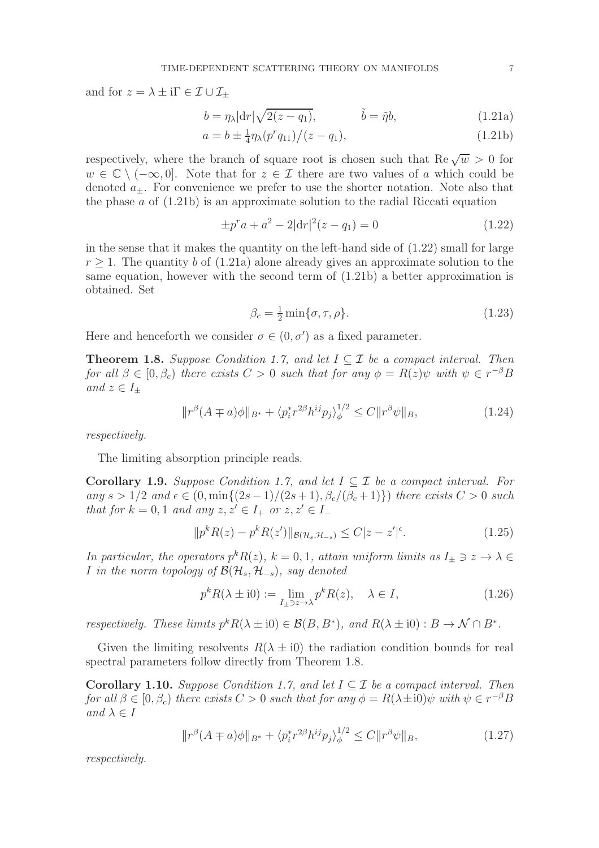and for  $z = \lambda \pm i\Gamma \in \mathcal{I} \cup \mathcal{I}_+$ 

$$
b = \eta_{\lambda} |\mathrm{d}r| \sqrt{2(z - q_1)}, \qquad \tilde{b} = \tilde{\eta} b, \qquad (1.21a)
$$

$$
a = b \pm \frac{1}{4} \eta_{\lambda} (p^r q_{11}) / (z - q_1), \tag{1.21b}
$$

respectively, where the branch of square root is chosen such that  $\text{Re}\sqrt{w} > 0$  for  $w \in \mathbb{C} \setminus (-\infty, 0]$ . Note that for  $z \in \mathcal{I}$  there are two values of a which could be denoted  $a_{+}$ . For convenience we prefer to use the shorter notation. Note also that the phase  $\alpha$  of  $(1.21b)$  is an approximate solution to the radial Riccati equation

$$
\pm p^r a + a^2 - 2|\mathrm{d}r|^2(z - q_1) = 0 \tag{1.22}
$$

in the sense that it makes the quantity on the left-hand side of (1.22) small for large  $r \geq 1$ . The quantity b of (1.21a) alone already gives an approximate solution to the same equation, however with the second term of (1.21b) a better approximation is obtained. Set

$$
\beta_c = \frac{1}{2} \min \{ \sigma, \tau, \rho \}. \tag{1.23}
$$

Here and henceforth we consider  $\sigma \in (0, \sigma')$  as a fixed parameter.

**Theorem 1.8.** Suppose Condition 1.7, and let  $I \subseteq \mathcal{I}$  be a compact interval. Then for all  $\beta \in [0, \beta_c)$  there exists  $C > 0$  such that for any  $\phi = R(z)\psi$  with  $\psi \in r^{-\beta}B$ and  $z \in I_+$ 

$$
||r^{\beta}(A \mp a)\phi||_{B^*} + \langle p_i^* r^{2\beta} h^{ij} p_j \rangle_{\phi}^{1/2} \le C ||r^{\beta}\psi||_B, \tag{1.24}
$$

respectively.

The limiting absorption principle reads.

**Corollary 1.9.** Suppose Condition 1.7, and let  $I \subseteq \mathcal{I}$  be a compact interval. For any  $s > 1/2$  and  $\epsilon \in (0, \min\{(2s-1)/(2s+1), \beta_c/(\beta_c+1)\})$  there exists  $C > 0$  such that for  $k = 0, 1$  and any  $z, z' \in I_+$  or  $z, z' \in I_-$ 

$$
||p^k R(z) - p^k R(z')||_{\mathcal{B}(\mathcal{H}_s, \mathcal{H}_{-s})} \le C|z - z'|^{\epsilon}.
$$
 (1.25)

In particular, the operators  $p^k R(z)$ ,  $k = 0, 1$ , attain uniform limits as  $I_{\pm} \ni z \to \lambda \in$ I in the norm topology of  $\mathcal{B}(\mathcal{H}_s, \mathcal{H}_{-s})$ , say denoted

$$
p^{k}R(\lambda \pm i0) := \lim_{I_{\pm} \ni z \to \lambda} p^{k}R(z), \quad \lambda \in I,
$$
\n(1.26)

respectively. These limits  $p^k R(\lambda \pm i0) \in \mathcal{B}(B, B^*)$ , and  $R(\lambda \pm i0) : B \to \mathcal{N} \cap B^*$ .

Given the limiting resolvents  $R(\lambda \pm i0)$  the radiation condition bounds for real spectral parameters follow directly from Theorem 1.8.

Corollary 1.10. Suppose Condition 1.7, and let  $I \subseteq \mathcal{I}$  be a compact interval. Then for all  $\beta \in [0, \beta_c)$  there exists  $C > 0$  such that for any  $\phi = R(\lambda \pm i0)\psi$  with  $\psi \in r^{-\beta}B$ and  $\lambda \in I$ 

$$
||r^{\beta}(A \mp a)\phi||_{B^*} + \langle p_i^* r^{2\beta} h^{ij} p_j \rangle_{\phi}^{1/2} \le C ||r^{\beta}\psi||_B, \tag{1.27}
$$

respectively.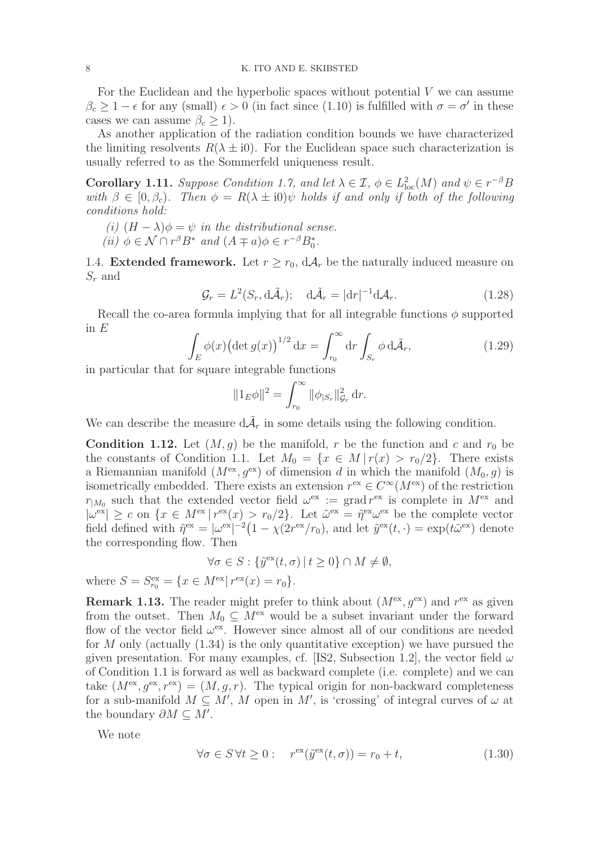For the Euclidean and the hyperbolic spaces without potential V we can assume  $\beta_c \geq 1 - \epsilon$  for any (small)  $\epsilon > 0$  (in fact since (1.10) is fulfilled with  $\sigma = \sigma'$  in these cases we can assume  $\beta_c \geq 1$ ).

As another application of the radiation condition bounds we have characterized the limiting resolvents  $R(\lambda \pm i0)$ . For the Euclidean space such characterization is usually referred to as the Sommerfeld uniqueness result.

**Corollary 1.11.** Suppose Condition 1.7, and let  $\lambda \in \mathcal{I}$ ,  $\phi \in L^2_{loc}(M)$  and  $\psi \in r^{-\beta}B$ with  $\beta \in [0, \beta_c)$ . Then  $\phi = R(\lambda \pm i0)\psi$  holds if and only if both of the following conditions hold:

(i) 
$$
(H - \lambda)\phi = \psi
$$
 in the distributional sense.

(*ii*)  $\phi \in \mathcal{N} \cap r^{\beta} B^*$  and  $(A \mp a)\phi \in r^{-\beta} B_0^*$ .

1.4. Extended framework. Let  $r > r_0$ ,  $dA_r$  be the naturally induced measure on  $S_r$  and

$$
\mathcal{G}_r = L^2(S_r, \mathrm{d}\tilde{\mathcal{A}}_r); \quad \mathrm{d}\tilde{\mathcal{A}}_r = |\mathrm{d}r|^{-1} \mathrm{d}\mathcal{A}_r. \tag{1.28}
$$

Recall the co-area formula implying that for all integrable functions  $\phi$  supported in  $E$ 

$$
\int_{E} \phi(x) \left(\det g(x)\right)^{1/2} dx = \int_{r_0}^{\infty} dr \int_{S_r} \phi \, d\tilde{\mathcal{A}}_r,\tag{1.29}
$$

in particular that for square integrable functions

$$
||1_E \phi||^2 = \int_{r_0}^{\infty} ||\phi_{|S_r}||_{\mathcal{G}_r}^2 dr.
$$

We can describe the measure  $d\tilde{\mathcal{A}}_r$  in some details using the following condition.

**Condition 1.12.** Let  $(M, g)$  be the manifold, r be the function and c and  $r_0$  be the constants of Condition 1.1. Let  $M_0 = \{x \in M | r(x) > r_0/2\}$ . There exists a Riemannian manifold  $(M<sup>ex</sup>, g<sup>ex</sup>)$  of dimension d in which the manifold  $(M_0, g)$  is isometrically embedded. There exists an extension  $r^{ex} \in C^{\infty}(M^{ex})$  of the restriction  $r_{|M_0}$  such that the extended vector field  $\omega^{\text{ex}} := \text{grad } r^{\text{ex}}$  is complete in  $M^{\text{ex}}$  and  $|\omega^{\text{ex}}| \geq c$  on  $\{x \in M^{\text{ex}} \mid r^{\text{ex}}(x) > r_0/2\}$ . Let  $\tilde{\omega}^{\text{ex}} = \tilde{\eta}^{\text{ex}} \omega^{\text{ex}}$  be the complete vector field defined with  $\tilde{\eta}^{\text{ex}} = |\omega^{\text{ex}}|^{-2} (1 - \chi(2r^{\text{ex}}/r_0))$ , and let  $\tilde{y}^{\text{ex}}(t, \cdot) = \exp(t\tilde{\omega}^{\text{ex}})$  denote the corresponding flow. Then

$$
\forall \sigma \in S : \{ \tilde{y}^{\text{ex}}(t, \sigma) \mid t \ge 0 \} \cap M \neq \emptyset,
$$

where  $S = S_{r_0}^{\text{ex}} = \{x \in M^{\text{ex}} | r^{\text{ex}}(x) = r_0 \}.$ 

**Remark 1.13.** The reader might prefer to think about  $(M<sup>ex</sup>, g<sup>ex</sup>)$  and  $r<sup>ex</sup>$  as given from the outset. Then  $M_0 \subseteq M^{\text{ex}}$  would be a subset invariant under the forward flow of the vector field  $\omega^{\text{ex}}$ . However since almost all of our conditions are needed for M only (actually  $(1.34)$  is the only quantitative exception) we have pursued the given presentation. For many examples, cf. [IS2, Subsection 1.2], the vector field  $\omega$ of Condition 1.1 is forward as well as backward complete (i.e. complete) and we can take  $(M<sup>ex</sup>, g<sup>ex</sup>, r<sup>ex</sup>) = (M, q, r)$ . The typical origin for non-backward completeness for a sub-manifold  $M \subseteq M'$ , M open in M', is 'crossing' of integral curves of  $\omega$  at the boundary  $\partial M \subseteq M'$ .

We note

$$
\forall \sigma \in S \,\forall t \ge 0: \quad r^{\text{ex}}(\tilde{y}^{\text{ex}}(t,\sigma)) = r_0 + t,\tag{1.30}
$$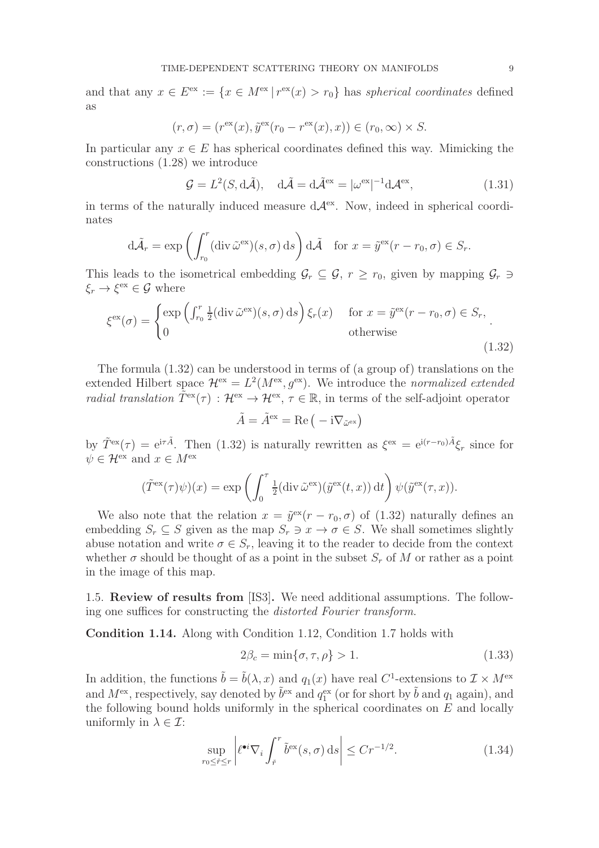and that any  $x \in E^{\text{ex}} := \{x \in M^{\text{ex}} \mid r^{\text{ex}}(x) > r_0\}$  has spherical coordinates defined as

$$
(r, \sigma) = (rex(x), \tilde{y}ex(r0 - rex(x), x)) \in (r0, \infty) \times S.
$$

In particular any  $x \in E$  has spherical coordinates defined this way. Mimicking the constructions (1.28) we introduce

$$
\mathcal{G} = L^2(S, d\tilde{\mathcal{A}}), \quad d\tilde{\mathcal{A}} = d\tilde{\mathcal{A}}^{\text{ex}} = |\omega^{\text{ex}}|^{-1} d\mathcal{A}^{\text{ex}}, \tag{1.31}
$$

in terms of the naturally induced measure  $d\mathcal{A}^{\text{ex}}$ . Now, indeed in spherical coordinates

$$
d\tilde{\mathcal{A}}_r = \exp\left(\int_{r_0}^r (\operatorname{div} \tilde{\omega}^{\text{ex}})(s, \sigma) \, ds\right) d\tilde{\mathcal{A}} \quad \text{for } x = \tilde{y}^{\text{ex}}(r - r_0, \sigma) \in S_r.
$$

This leads to the isometrical embedding  $\mathcal{G}_r \subseteq \mathcal{G}, r \geq r_0$ , given by mapping  $\mathcal{G}_r \ni$  $\xi_r \to \xi^{\text{ex}} \in \mathcal{G}$  where

$$
\xi^{\text{ex}}(\sigma) = \begin{cases} \exp\left(\int_{r_0}^r \frac{1}{2} (\operatorname{div} \tilde{\omega}^{\text{ex}})(s, \sigma) \, ds\right) \xi_r(x) & \text{for } x = \tilde{y}^{\text{ex}}(r - r_0, \sigma) \in S_r, \\ 0 & \text{otherwise} \end{cases} \tag{1.32}
$$

The formula  $(1.32)$  can be understood in terms of (a group of) translations on the extended Hilbert space  $\mathcal{H}^{\text{ex}} = L^2(M^{\text{ex}}, g^{\text{ex}})$ . We introduce the normalized extended radial translation  $\tilde{T}^{\text{ex}}(\tau) : \mathcal{H}^{\text{ex}} \to \mathcal{H}^{\text{ex}}, \tau \in \mathbb{R}$ , in terms of the self-adjoint operator

$$
\tilde{A} = \tilde{A}^{\text{ex}} = \text{Re}\left(-i\nabla_{\tilde{\omega}^{\text{ex}}}\right)
$$

by  $\tilde{T}^{\text{ex}}(\tau) = e^{i\tau \tilde{A}}$ . Then (1.32) is naturally rewritten as  $\xi^{\text{ex}} = e^{i(r-r_0)\tilde{A}} \xi_r$  since for  $\psi \in \mathcal{H}^{\mathrm{ex}}$  and  $x \in M^{\mathrm{ex}}$ 

$$
(\tilde{T}^{\text{ex}}(\tau)\psi)(x) = \exp\left(\int_0^{\tau} \frac{1}{2}(\text{div}\,\tilde{\omega}^{\text{ex}})(\tilde{y}^{\text{ex}}(t,x)) dt\right) \psi(\tilde{y}^{\text{ex}}(\tau,x)).
$$

We also note that the relation  $x = \tilde{y}^{\text{ex}}(r - r_0, \sigma)$  of (1.32) naturally defines an embedding  $S_r \subseteq S$  given as the map  $S_r \ni x \to \sigma \in S$ . We shall sometimes slightly abuse notation and write  $\sigma \in S_r$ , leaving it to the reader to decide from the context whether  $\sigma$  should be thought of as a point in the subset  $S_r$  of M or rather as a point in the image of this map.

1.5. Review of results from [IS3]. We need additional assumptions. The following one suffices for constructing the distorted Fourier transform.

Condition 1.14. Along with Condition 1.12, Condition 1.7 holds with

$$
2\beta_c = \min\{\sigma, \tau, \rho\} > 1. \tag{1.33}
$$

In addition, the functions  $\tilde{b} = \tilde{b}(\lambda, x)$  and  $q_1(x)$  have real C<sup>1</sup>-extensions to  $\mathcal{I} \times M^{\text{ex}}$ and  $M^{\text{ex}}$ , respectively, say denoted by  $\tilde{b}^{\text{ex}}$  and  $q_1^{\text{ex}}$  (or for short by  $\tilde{b}$  and  $q_1$  again), and the following bound holds uniformly in the spherical coordinates on  $E$  and locally uniformly in  $\lambda \in \mathcal{I}$ :

$$
\sup_{r_0 \le \check{r} \le r} \left| \ell^{\bullet i} \nabla_i \int_{\check{r}}^r \tilde{b}^{\rm ex}(s, \sigma) \, \mathrm{d}s \right| \le Cr^{-1/2}.\tag{1.34}
$$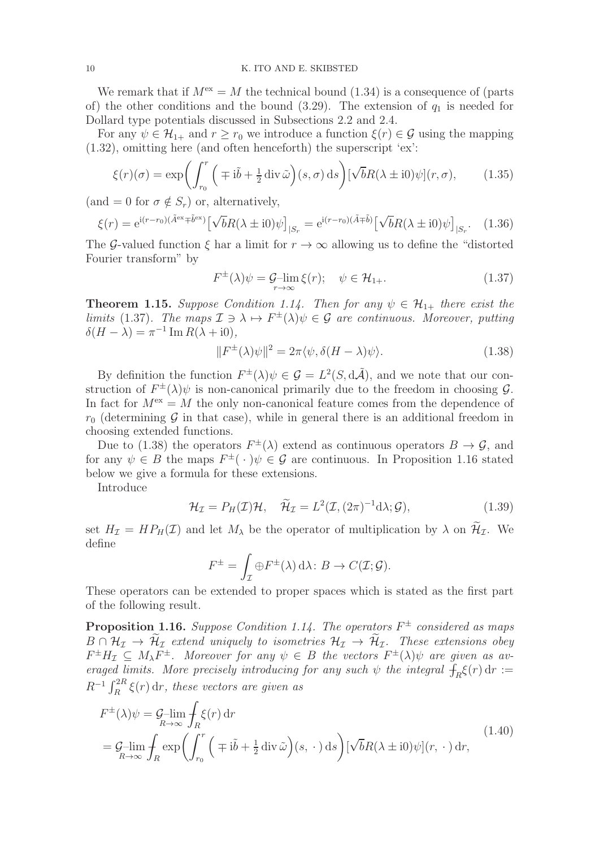We remark that if  $M<sup>ex</sup> = M$  the technical bound (1.34) is a consequence of (parts of) the other conditions and the bound (3.29). The extension of  $q_1$  is needed for Dollard type potentials discussed in Subsections 2.2 and 2.4.

For any  $\psi \in \mathcal{H}_{1+}$  and  $r \geq r_0$  we introduce a function  $\xi(r) \in \mathcal{G}$  using the mapping (1.32), omitting here (and often henceforth) the superscript 'ex':

$$
\xi(r)(\sigma) = \exp\left(\int_{r_0}^r \left(\mp i\tilde{b} + \frac{1}{2} \operatorname{div} \tilde{\omega}\right)(s,\sigma) \,ds\right) [\sqrt{b}R(\lambda \pm i0)\psi](r,\sigma),\tag{1.35}
$$

 $(\text{and } = 0 \text{ for } \sigma \notin S_r)$  or, alternatively,

$$
\xi(r) = e^{i(r-r_0)(\tilde{A}^{ex} + \tilde{b}^{ex})} \left[ \sqrt{b}R(\lambda \pm i0)\psi \right]_{|S_r} = e^{i(r-r_0)(\tilde{A} + \tilde{b})} \left[ \sqrt{b}R(\lambda \pm i0)\psi \right]_{|S_r}.
$$
 (1.36)

The G-valued function  $\xi$  har a limit for  $r \to \infty$  allowing us to define the "distorted" Fourier transform" by

$$
F^{\pm}(\lambda)\psi = \mathcal{G}-\lim_{r \to \infty} \xi(r); \quad \psi \in \mathcal{H}_{1+}.
$$
 (1.37)

**Theorem 1.15.** Suppose Condition 1.14. Then for any  $\psi \in \mathcal{H}_{1+}$  there exist the limits (1.37). The maps  $\mathcal{I} \ni \lambda \mapsto F^{\pm}(\lambda)\psi \in \mathcal{G}$  are continuous. Moreover, putting  $\delta(H - \lambda) = \pi^{-1} \operatorname{Im} R(\lambda + i0),$ 

$$
||F^{\pm}(\lambda)\psi||^{2} = 2\pi \langle \psi, \delta(H - \lambda)\psi \rangle.
$$
 (1.38)

By definition the function  $F^{\pm}(\lambda)\psi \in \mathcal{G} = L^2(S, d\tilde{\mathcal{A}})$ , and we note that our construction of  $F^{\pm}(\lambda)\psi$  is non-canonical primarily due to the freedom in choosing  $\mathcal{G}$ . In fact for  $M^{\text{ex}} = M$  the only non-canonical feature comes from the dependence of  $r_0$  (determining G in that case), while in general there is an additional freedom in choosing extended functions.

Due to (1.38) the operators  $F^{\pm}(\lambda)$  extend as continuous operators  $B \to \mathcal{G}$ , and for any  $\psi \in B$  the maps  $F^{\pm}(\cdot) \psi \in \mathcal{G}$  are continuous. In Proposition 1.16 stated below we give a formula for these extensions.

Introduce

$$
\mathcal{H}_{\mathcal{I}} = P_H(\mathcal{I})\mathcal{H}, \quad \widetilde{\mathcal{H}}_{\mathcal{I}} = L^2(\mathcal{I}, (2\pi)^{-1} \mathrm{d}\lambda; \mathcal{G}), \tag{1.39}
$$

set  $H_{\mathcal{I}} = HP_H(\mathcal{I})$  and let  $M_{\lambda}$  be the operator of multiplication by  $\lambda$  on  $\widetilde{\mathcal{H}}_{\mathcal{I}}$ . We define

$$
F^{\pm} = \int_{\mathcal{I}} \oplus F^{\pm}(\lambda) d\lambda : B \to C(\mathcal{I}; \mathcal{G}).
$$

These operators can be extended to proper spaces which is stated as the first part of the following result.

**Proposition 1.16.** Suppose Condition 1.14. The operators  $F^{\pm}$  considered as maps  $B \cap \mathcal{H}_{\mathcal{I}} \to \widetilde{\mathcal{H}}_{\mathcal{I}}$  extend uniquely to isometries  $\mathcal{H}_{\mathcal{I}} \to \widetilde{\mathcal{H}}_{\mathcal{I}}$ . These extensions obey  $F^{\pm}H_{\mathcal{I}}\subseteq M_{\lambda}F^{\pm}$ . Moreover for any  $\psi \in B$  the vectors  $F^{\pm}(\lambda)\psi$  are given as averaged limits. More precisely introducing for any such  $\psi$  the integral  $\hat{f}_R \xi(r) dr :=$  $R^{-1} \int_R^{2R} \xi(r) dr$ , these vectors are given as

$$
F^{\pm}(\lambda)\psi = \mathcal{G}-\lim_{R \to \infty} \int_{R} \xi(r) dr
$$
  
=  $\mathcal{G}-\lim_{R \to \infty} \int_{R} \exp\left(\int_{r_0}^{r} \left(\mp i\tilde{b} + \frac{1}{2} \operatorname{div} \tilde{\omega}\right)(s, \cdot) ds\right) [\sqrt{b}R(\lambda \pm i0)\psi](r, \cdot) dr,$  (1.40)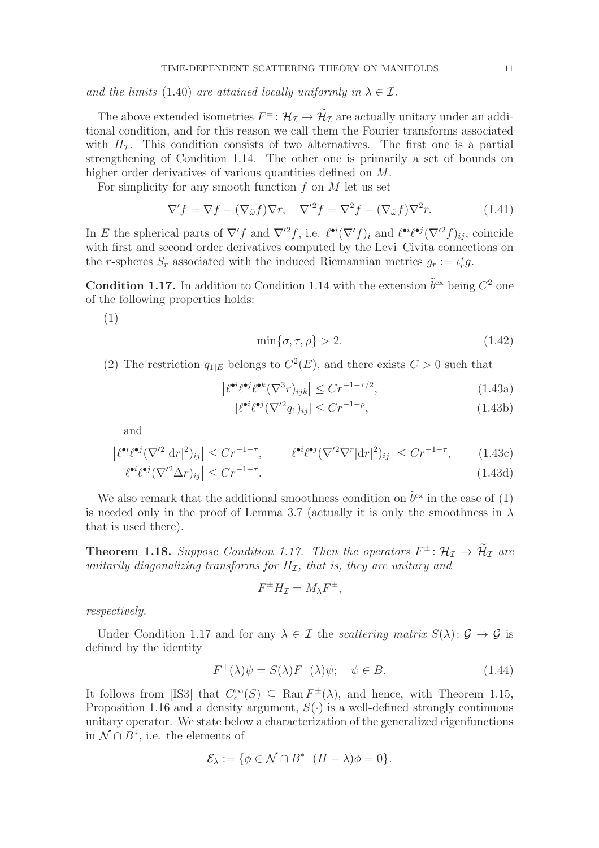and the limits (1.40) are attained locally uniformly in  $\lambda \in \mathcal{I}$ .

The above extended isometries  $F^{\pm}$ :  $\mathcal{H}_{\mathcal{I}} \to \mathcal{H}_{\mathcal{I}}$  are actually unitary under an additional condition, and for this reason we call them the Fourier transforms associated with  $H<sub>I</sub>$ . This condition consists of two alternatives. The first one is a partial strengthening of Condition 1.14. The other one is primarily a set of bounds on higher order derivatives of various quantities defined on M.

For simplicity for any smooth function  $f$  on  $M$  let us set

$$
\nabla' f = \nabla f - (\nabla_{\tilde{\omega}} f) \nabla r, \quad \nabla'^2 f = \nabla^2 f - (\nabla_{\tilde{\omega}} f) \nabla^2 r. \tag{1.41}
$$

In E the spherical parts of  $\nabla' f$  and  $\nabla'^2 f$ , i.e.  $\ell^{\bullet i} (\nabla' f)_i$  and  $\ell^{\bullet i} \ell^{\bullet j} (\nabla'^2 f)_{ij}$ , coincide with first and second order derivatives computed by the Levi–Civita connections on the r-spheres  $S_r$  associated with the induced Riemannian metrics  $g_r := \iota_r^* g$ .

**Condition 1.17.** In addition to Condition 1.14 with the extension  $\tilde{b}^{\text{ex}}$  being  $C^2$  one of the following properties holds:

(1)

$$
\min\{\sigma, \tau, \rho\} > 2. \tag{1.42}
$$

(2) The restriction  $q_{1|E}$  belongs to  $C^2(E)$ , and there exists  $C > 0$  such that

$$
\left| \ell^{\bullet i} \ell^{\bullet j} \ell^{\bullet k} (\nabla^3 r)_{ijk} \right| \leq C r^{-1 - \tau/2},\tag{1.43a}
$$

$$
|\ell^{\bullet i}\ell^{\bullet j}(\nabla'^2 q_1)_{ij}| \le Cr^{-1-\rho},\tag{1.43b}
$$

and

$$
\left| \ell^{\bullet i} \ell^{\bullet j} (\nabla'^2 |\mathrm{d} r|^2)_{ij} \right| \leq C r^{-1-\tau}, \qquad \left| \ell^{\bullet i} \ell^{\bullet j} (\nabla'^2 \nabla^r |\mathrm{d} r|^2)_{ij} \right| \leq C r^{-1-\tau}, \qquad (1.43c)
$$

$$
\left| \ell^{\bullet i} \ell^{\bullet j} (\nabla'^2 \Delta r)_{ij} \right| \leq C r^{-1-\tau}.
$$
\n(1.43d)

We also remark that the additional smoothness condition on  $\tilde{b}^{\text{ex}}$  in the case of (1) is needed only in the proof of Lemma 3.7 (actually it is only the smoothness in  $\lambda$ that is used there).

**Theorem 1.18.** Suppose Condition 1.17. Then the operators  $F^{\pm}$ :  $\mathcal{H}_{\mathcal{I}} \to \mathcal{H}_{\mathcal{I}}$  are unitarily diagonalizing transforms for  $H_{\mathcal{I}}$ , that is, they are unitary and

$$
F^{\pm}H_{\mathcal{I}} = M_{\lambda}F^{\pm},
$$

respectively.

Under Condition 1.17 and for any  $\lambda \in \mathcal{I}$  the scattering matrix  $S(\lambda): \mathcal{G} \to \mathcal{G}$  is defined by the identity

$$
F^{+}(\lambda)\psi = S(\lambda)F^{-}(\lambda)\psi; \quad \psi \in B.
$$
\n(1.44)

It follows from [IS3] that  $C_c^{\infty}(S) \subseteq \text{Ran } F^{\pm}(\lambda)$ , and hence, with Theorem 1.15, Proposition 1.16 and a density argument,  $S(\cdot)$  is a well-defined strongly continuous unitary operator. We state below a characterization of the generalized eigenfunctions in  $N \cap B^*$ , i.e. the elements of

$$
\mathcal{E}_{\lambda} := \{ \phi \in \mathcal{N} \cap B^* \, | \, (H - \lambda)\phi = 0 \}.
$$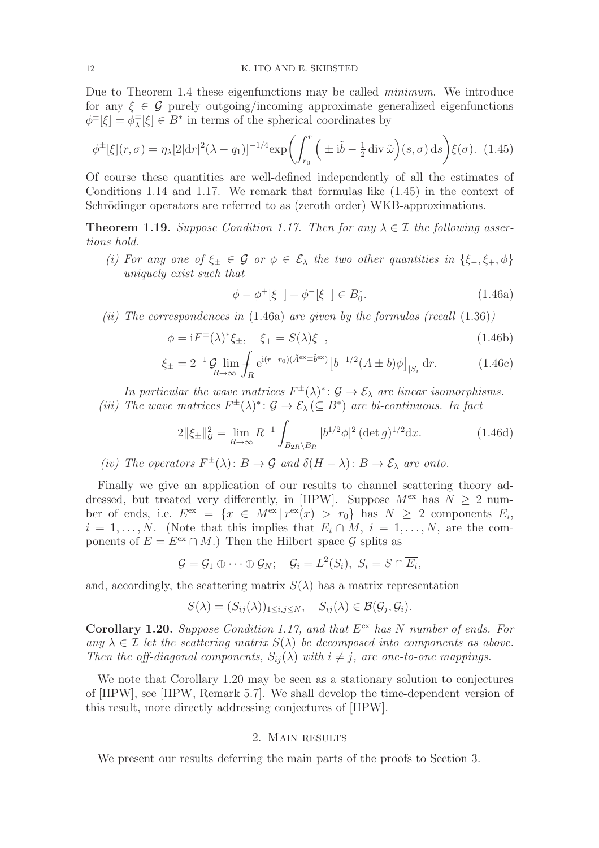Due to Theorem 1.4 these eigenfunctions may be called *minimum*. We introduce for any  $\xi \in \mathcal{G}$  purely outgoing/incoming approximate generalized eigenfunctions  $\phi^{\pm}[\xi] = \phi_{\lambda}^{\pm}$  $\frac{1}{\lambda}[\xi] \in B^*$  in terms of the spherical coordinates by

$$
\phi^{\pm}[\xi](r,\sigma) = \eta_{\lambda}[2|\mathrm{d}r|^{2}(\lambda - q_{1})]^{-1/4} \exp\left(\int_{r_{0}}^{r} \left(\pm i\tilde{b} - \frac{1}{2}\mathrm{div}\,\tilde{\omega}\right)(s,\sigma)\,\mathrm{d}s\right) \xi(\sigma). \tag{1.45}
$$

Of course these quantities are well-defined independently of all the estimates of Conditions 1.14 and 1.17. We remark that formulas like (1.45) in the context of Schrödinger operators are referred to as (zeroth order) WKB-approximations.

**Theorem 1.19.** Suppose Condition 1.17. Then for any  $\lambda \in \mathcal{I}$  the following assertions hold.

(i) For any one of  $\xi_{\pm} \in \mathcal{G}$  or  $\phi \in \mathcal{E}_{\lambda}$  the two other quantities in  $\{\xi_{-},\xi_{+},\phi\}$ uniquely exist such that

$$
\phi - \phi^+[\xi_+] + \phi^-[\xi_-] \in B_0^*.
$$
\n(1.46a)

(ii) The correspondences in  $(1.46a)$  are given by the formulas (recall  $(1.36)$ )

$$
\phi = iF^{\pm}(\lambda)^{*} \xi_{\pm}, \quad \xi_{+} = S(\lambda)\xi_{-}, \tag{1.46b}
$$

$$
\xi_{\pm} = 2^{-1} \mathcal{G} - \lim_{R \to \infty} \int_{R} e^{i(r - r_0)(\tilde{A}^{ex} \mp \tilde{b}^{ex})} \left[ b^{-1/2} (A \pm b) \phi \right]_{|S_r} dr.
$$
 (1.46c)

In particular the wave matrices  $F^{\pm}(\lambda)^{*}$ :  $\mathcal{G} \to \mathcal{E}_{\lambda}$  are linear isomorphisms. (iii) The wave matrices  $F^{\pm}(\lambda)^{*}$ :  $\mathcal{G} \to \mathcal{E}_{\lambda} (\subseteq B^{*})$  are bi-continuous. In fact

$$
2\|\xi_{\pm}\|_{\mathcal{G}}^2 = \lim_{R \to \infty} R^{-1} \int_{B_{2R} \backslash B_R} |b^{1/2} \phi|^2 (\det g)^{1/2} dx. \tag{1.46d}
$$

(iv) The operators  $F^{\pm}(\lambda) : B \to \mathcal{G}$  and  $\delta(H - \lambda) : B \to \mathcal{E}_{\lambda}$  are onto.

Finally we give an application of our results to channel scattering theory addressed, but treated very differently, in [HPW]. Suppose  $M^{\text{ex}}$  has  $N \geq 2$  number of ends, i.e.  $E^{ex} = \{x \in M^{ex} | r^{ex}(x) > r_0\}$  has  $N \ge 2$  components  $E_i$ ,  $i = 1, \ldots, N$ . (Note that this implies that  $E_i \cap M$ ,  $i = 1, \ldots, N$ , are the components of  $E = E^{\text{ex}} \cap M$ .) Then the Hilbert space  $\mathcal G$  splits as

$$
\mathcal{G} = \mathcal{G}_1 \oplus \cdots \oplus \mathcal{G}_N; \quad \mathcal{G}_i = L^2(S_i), \ S_i = S \cap \overline{E_i},
$$

and, accordingly, the scattering matrix  $S(\lambda)$  has a matrix representation

$$
S(\lambda) = (S_{ij}(\lambda))_{1 \le i,j \le N}, \quad S_{ij}(\lambda) \in \mathcal{B}(\mathcal{G}_j, \mathcal{G}_i).
$$

**Corollary 1.20.** Suppose Condition 1.17, and that  $E^{ex}$  has N number of ends. For any  $\lambda \in \mathcal{I}$  let the scattering matrix  $S(\lambda)$  be decomposed into components as above. Then the off-diagonal components,  $S_{ii}(\lambda)$  with  $i \neq j$ , are one-to-one mappings.

We note that Corollary 1.20 may be seen as a stationary solution to conjectures of [HPW], see [HPW, Remark 5.7]. We shall develop the time-dependent version of this result, more directly addressing conjectures of [HPW].

## 2. Main results

We present our results deferring the main parts of the proofs to Section 3.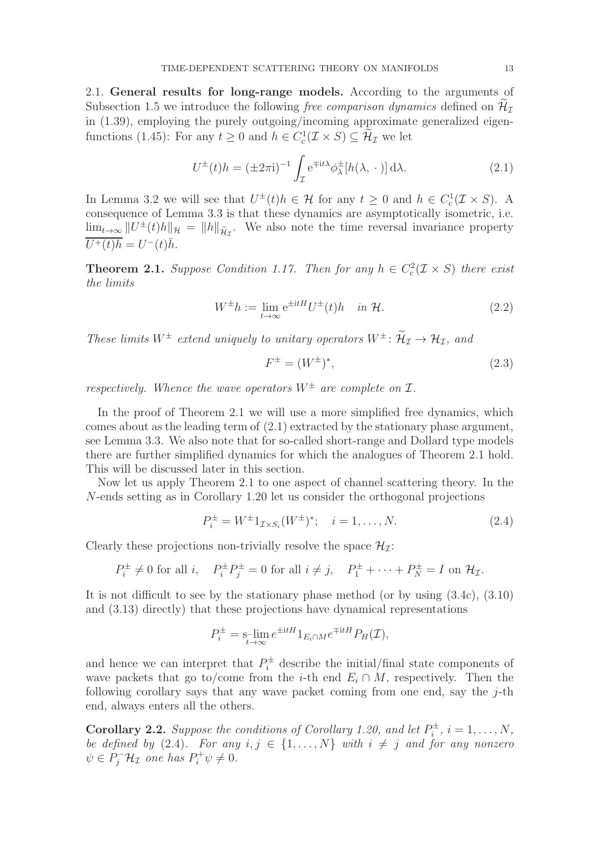2.1. General results for long-range models. According to the arguments of Subsection 1.5 we introduce the following free comparison dynamics defined on  $\mathcal{H}_{\tau}$ in (1.39), employing the purely outgoing/incoming approximate generalized eigenfunctions (1.45): For any  $t \ge 0$  and  $h \in C_c^1(\mathcal{I} \times S) \subseteq \mathcal{H}_{\mathcal{I}}$  we let

$$
U^{\pm}(t)h = (\pm 2\pi i)^{-1} \int_{\mathcal{I}} e^{\mp it\lambda} \phi_{\lambda}^{\pm}[h(\lambda, \cdot)] d\lambda.
$$
 (2.1)

In Lemma 3.2 we will see that  $U^{\pm}(t)h \in \mathcal{H}$  for any  $t \geq 0$  and  $h \in C_c^1(\mathcal{I} \times S)$ . A consequence of Lemma 3.3 is that these dynamics are asymptotically isometric, i.e.  $\lim_{t\to\infty} ||U^{\pm}(t)h||_{\mathcal{H}} = ||h||_{\widetilde{\mathcal{H}}_{\mathcal{I}}}$ . We also note the time reversal invariance property  $\overline{U^+(t)h} = U^-(t)\overline{h}.$ 

**Theorem 2.1.** Suppose Condition 1.17. Then for any  $h \in C_c^2(\mathcal{I} \times S)$  there exist the limits

$$
W^{\pm}h := \lim_{t \to \infty} e^{\pm itH} U^{\pm}(t)h \quad in \mathcal{H}.
$$
 (2.2)

These limits  $W^{\pm}$  extend uniquely to unitary operators  $W^{\pm}$ :  $\widetilde{\mathcal{H}}_{\mathcal{I}} \to \mathcal{H}_{\mathcal{I}}$ , and

$$
F^{\pm} = (W^{\pm})^*,\tag{2.3}
$$

respectively. Whence the wave operators  $W^{\pm}$  are complete on  $\mathcal{I}$ .

In the proof of Theorem 2.1 we will use a more simplified free dynamics, which comes about as the leading term of (2.1) extracted by the stationary phase argument, see Lemma 3.3. We also note that for so-called short-range and Dollard type models there are further simplified dynamics for which the analogues of Theorem 2.1 hold. This will be discussed later in this section.

Now let us apply Theorem 2.1 to one aspect of channel scattering theory. In the N-ends setting as in Corollary 1.20 let us consider the orthogonal projections

$$
P_i^{\pm} = W^{\pm} 1_{\mathcal{I} \times S_i}(W^{\pm})^*; \quad i = 1, \dots, N. \tag{2.4}
$$

Clearly these projections non-trivially resolve the space  $\mathcal{H}_{\mathcal{I}}$ :

$$
P_i^{\pm} \neq 0 \text{ for all } i, \quad P_i^{\pm} P_j^{\pm} = 0 \text{ for all } i \neq j, \quad P_1^{\pm} + \dots + P_N^{\pm} = I \text{ on } \mathcal{H}_{\mathcal{I}}.
$$

It is not difficult to see by the stationary phase method (or by using (3.4c), (3.10) and (3.13) directly) that these projections have dynamical representations

$$
P_i^{\pm} = \operatorname*{sim}_{t \to \infty} e^{\pm itH} 1_{E_i \cap M} e^{\mp itH} P_H(\mathcal{I}),
$$

and hence we can interpret that  $P_i^{\pm}$  describe the initial/final state components of wave packets that go to/come from the *i*-th end  $E_i \cap M$ , respectively. Then the following corollary says that any wave packet coming from one end, say the  $j$ -th end, always enters all the others.

**Corollary 2.2.** Suppose the conditions of Corollary 1.20, and let  $P_i^{\pm}$  $\mathbf{e}_i^{\pm}, i = 1, \ldots, N,$ be defined by (2.4). For any  $i, j \in \{1, ..., N\}$  with  $i \neq j$  and for any nonzero  $\psi \in P_j^- \mathcal{H}_\mathcal{I}$  one has  $P_i^+ \psi \neq 0$ .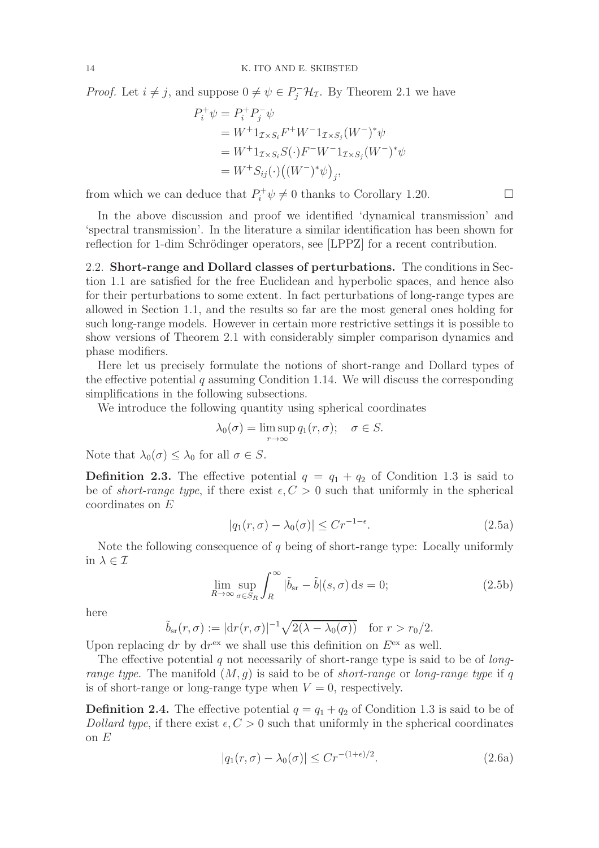*Proof.* Let  $i \neq j$ , and suppose  $0 \neq \psi \in P_j^-{\mathcal H}_{\mathcal I}$ . By Theorem 2.1 we have

$$
P_i^+ \psi = P_i^+ P_j^- \psi
$$
  
=  $W^+ 1_{\mathcal{I} \times S_i} F^+ W^- 1_{\mathcal{I} \times S_j} (W^-)^* \psi$   
=  $W^+ 1_{\mathcal{I} \times S_i} S(\cdot) F^- W^- 1_{\mathcal{I} \times S_j} (W^-)^* \psi$   
=  $W^+ S_{ij}(\cdot) ((W^-)^* \psi)_{j}$ ,

from which we can deduce that  $P_i^+\psi \neq 0$  thanks to Corollary 1.20.

In the above discussion and proof we identified 'dynamical transmission' and 'spectral transmission'. In the literature a similar identification has been shown for reflection for 1-dim Schrödinger operators, see [LPPZ] for a recent contribution.

2.2. Short-range and Dollard classes of perturbations. The conditions in Section 1.1 are satisfied for the free Euclidean and hyperbolic spaces, and hence also for their perturbations to some extent. In fact perturbations of long-range types are allowed in Section 1.1, and the results so far are the most general ones holding for such long-range models. However in certain more restrictive settings it is possible to show versions of Theorem 2.1 with considerably simpler comparison dynamics and phase modifiers.

Here let us precisely formulate the notions of short-range and Dollard types of the effective potential  $q$  assuming Condition 1.14. We will discuss the corresponding simplifications in the following subsections.

We introduce the following quantity using spherical coordinates

$$
\lambda_0(\sigma) = \limsup_{r \to \infty} q_1(r, \sigma); \quad \sigma \in S.
$$

Note that  $\lambda_0(\sigma) \leq \lambda_0$  for all  $\sigma \in S$ .

**Definition 2.3.** The effective potential  $q = q_1 + q_2$  of Condition 1.3 is said to be of *short-range type*, if there exist  $\epsilon, C > 0$  such that uniformly in the spherical coordinates on E

$$
|q_1(r,\sigma) - \lambda_0(\sigma)| \le Cr^{-1-\epsilon}.\tag{2.5a}
$$

Note the following consequence of  $q$  being of short-range type: Locally uniformly in  $\lambda \in \mathcal{I}$ 

$$
\lim_{R \to \infty} \sup_{\sigma \in S_R} \int_R^{\infty} |\tilde{b}_{\rm sr} - \tilde{b}|(s, \sigma) \, \mathrm{d}s = 0; \tag{2.5b}
$$

here

$$
\tilde{b}_{\rm sr}(r,\sigma) := |\mathrm{d}r(r,\sigma)|^{-1} \sqrt{2(\lambda - \lambda_0(\sigma))} \quad \text{for } r > r_0/2.
$$

Upon replacing dr by dr<sup>ex</sup> we shall use this definition on  $E^{\text{ex}}$  as well.

The effective potential  $q$  not necessarily of short-range type is said to be of *long*range type. The manifold  $(M, g)$  is said to be of short-range or long-range type if q is of short-range or long-range type when  $V = 0$ , respectively.

**Definition 2.4.** The effective potential  $q = q_1 + q_2$  of Condition 1.3 is said to be of Dollard type, if there exist  $\epsilon, C > 0$  such that uniformly in the spherical coordinates on E

$$
|q_1(r,\sigma) - \lambda_0(\sigma)| \le Cr^{-(1+\epsilon)/2}.
$$
 (2.6a)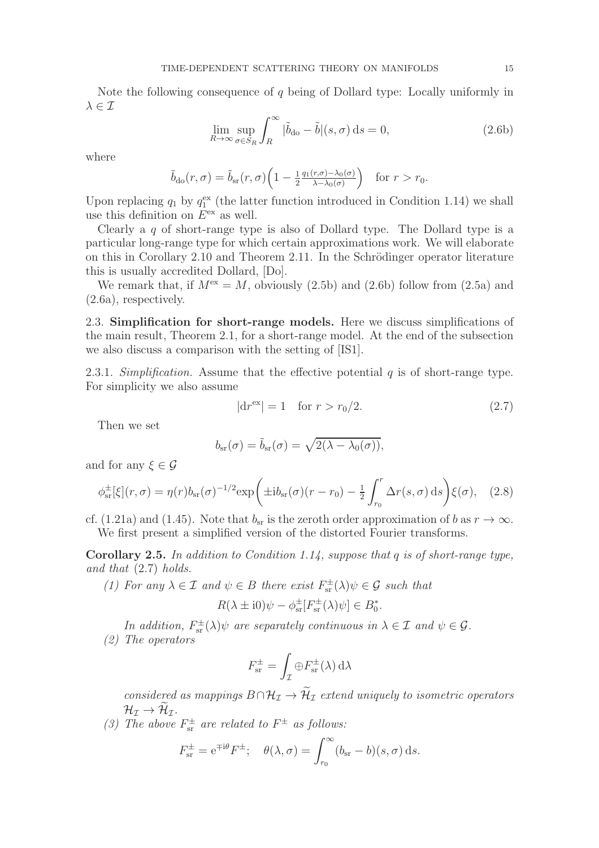Note the following consequence of q being of Dollard type: Locally uniformly in  $\lambda \in \mathcal{I}$ 

$$
\lim_{R \to \infty} \sup_{\sigma \in S_R} \int_R^{\infty} |\tilde{b}_{\text{do}} - \tilde{b}|(s, \sigma) \, \mathrm{d}s = 0,\tag{2.6b}
$$

where

$$
\tilde{b}_{\text{do}}(r,\sigma) = \tilde{b}_{\text{sr}}(r,\sigma) \left(1 - \frac{1}{2} \frac{q_1(r,\sigma) - \lambda_0(\sigma)}{\lambda - \lambda_0(\sigma)}\right) \quad \text{for } r > r_0.
$$

Upon replacing  $q_1$  by  $q_1^{\text{ex}}$  (the latter function introduced in Condition 1.14) we shall use this definition on  $E<sup>ex</sup>$  as well.

Clearly a  $q$  of short-range type is also of Dollard type. The Dollard type is a particular long-range type for which certain approximations work. We will elaborate on this in Corollary 2.10 and Theorem 2.11. In the Schrödinger operator literature this is usually accredited Dollard, [Do].

We remark that, if  $M^{\text{ex}} = M$ , obviously (2.5b) and (2.6b) follow from (2.5a) and (2.6a), respectively.

2.3. Simplification for short-range models. Here we discuss simplifications of the main result, Theorem 2.1, for a short-range model. At the end of the subsection we also discuss a comparison with the setting of [IS1].

2.3.1. Simplification. Assume that the effective potential  $q$  is of short-range type. For simplicity we also assume

$$
|dr^{ex}| = 1 \quad \text{for } r > r_0/2. \tag{2.7}
$$

Then we set

$$
b_{\rm sr}(\sigma) = \tilde{b}_{\rm sr}(\sigma) = \sqrt{2(\lambda - \lambda_0(\sigma))},
$$

and for any  $\xi \in \mathcal{G}$ 

$$
\phi_{\rm sr}^{\pm}[\xi](r,\sigma) = \eta(r)b_{\rm sr}(\sigma)^{-1/2} \exp\left(\pm i b_{\rm sr}(\sigma)(r-r_0) - \frac{1}{2} \int_{r_0}^r \Delta r(s,\sigma) \,ds\right) \xi(\sigma), \quad (2.8)
$$

cf. (1.21a) and (1.45). Note that  $b_{sr}$  is the zeroth order approximation of b as  $r \to \infty$ . We first present a simplified version of the distorted Fourier transforms.

Corollary 2.5. In addition to Condition 1.14, suppose that q is of short-range type, and that (2.7) holds.

(1) For any  $\lambda \in \mathcal{I}$  and  $\psi \in B$  there exist  $F_{\text{sr}}^{\pm}(\lambda)\psi \in \mathcal{G}$  such that

$$
R(\lambda \pm i0)\psi - \phi_{\rm sr}^{\pm}[F_{\rm sr}^{\pm}(\lambda)\psi] \in B_0^*.
$$

In addition,  $F_{\text{sr}}^{\pm}(\lambda)\psi$  are separately continuous in  $\lambda \in \mathcal{I}$  and  $\psi \in \mathcal{G}$ . (2) The operators

$$
F_{\rm sr}^{\pm} = \int_{\mathcal{I}} \oplus F_{\rm sr}^{\pm}(\lambda) \,\mathrm{d}\lambda
$$

considered as mappings  $B \cap \mathcal{H}_{\mathcal{I}} \to \widetilde{\mathcal{H}}_{\mathcal{I}}$  extend uniquely to isometric operators  $\mathcal{H}_{\mathcal{I}} \rightarrow \mathcal{H}_{\mathcal{I}}.$ 

(3) The above  $F_{\text{sr}}^{\pm}$  are related to  $F^{\pm}$  as follows:

$$
F_{\rm sr}^{\pm} = e^{\mp i\theta} F^{\pm}; \quad \theta(\lambda, \sigma) = \int_{r_0}^{\infty} (b_{\rm sr} - b)(s, \sigma) \, \mathrm{d}s.
$$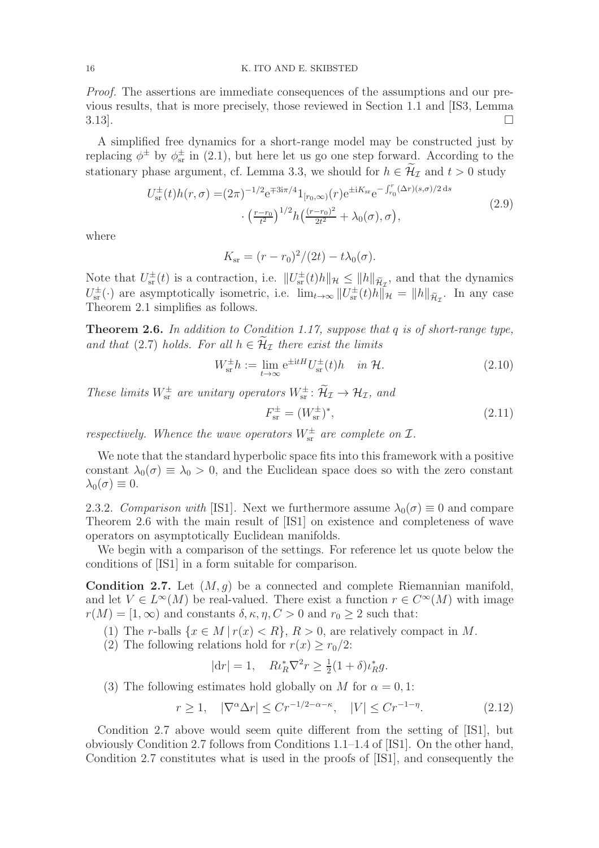Proof. The assertions are immediate consequences of the assumptions and our previous results, that is more precisely, those reviewed in Section 1.1 and [IS3, Lemma  $3.13$ ].

A simplified free dynamics for a short-range model may be constructed just by replacing  $\phi^{\pm}$  by  $\phi_{sr}^{\pm}$  in (2.1), but here let us go one step forward. According to the stationary phase argument, cf. Lemma 3.3, we should for  $h \in \widetilde{\mathcal{H}}_{\mathcal{I}}$  and  $t > 0$  study

$$
U_{\rm sr}^{\pm}(t)h(r,\sigma) = (2\pi)^{-1/2} e^{\mp 3i\pi/4} 1_{[r_0,\infty)}(r) e^{\pm iK_{\rm sr}} e^{-\int_{r_0}^r (\Delta r)(s,\sigma)/2 \,ds}
$$

$$
\cdot \left(\frac{r-r_0}{t^2}\right)^{1/2} h\left(\frac{(r-r_0)^2}{2t^2} + \lambda_0(\sigma),\sigma\right),\tag{2.9}
$$

where

$$
K_{\rm sr} = (r - r_0)^2 / (2t) - t\lambda_0(\sigma).
$$

Note that  $U_{\rm sr}^{\pm}(t)$  is a contraction, i.e.  $||U_{\rm sr}^{\pm}(t)h||_{\mathcal{H}} \leq ||h||_{\widetilde{\mathcal{H}}_{\mathcal{I}}}$ , and that the dynamics  $U_{\rm sr}^{\pm}(\cdot)$  are asymptotically isometric, i.e.  $\lim_{t\to\infty}||U_{\rm sr}^{\pm}(t)h||_{\mathcal{H}} = ||h||_{\tilde{\mathcal{H}}_{\mathcal{I}}}$ . In any case Theorem 2.1 simplifies as follows.

**Theorem 2.6.** In addition to Condition 1.17, suppose that q is of short-range type, and that (2.7) holds. For all  $h \in \mathcal{H}_{\mathcal{I}}$  there exist the limits

$$
W_{\rm sr}^{\pm}h := \lim_{t \to \infty} e^{\pm itH} U_{\rm sr}^{\pm}(t)h \quad in \ \mathcal{H}.
$$
 (2.10)

These limits  $W_{sr}^{\pm}$  are unitary operators  $W_{sr}^{\pm}$ :  $\mathcal{H}_{\mathcal{I}} \to \mathcal{H}_{\mathcal{I}}$ , and

$$
F_{\rm sr}^{\pm} = (W_{\rm sr}^{\pm})^*,\tag{2.11}
$$

respectively. Whence the wave operators  $W_{\text{sr}}^{\pm}$  are complete on  $\mathcal{I}$ .

We note that the standard hyperbolic space fits into this framework with a positive constant  $\lambda_0(\sigma) \equiv \lambda_0 > 0$ , and the Euclidean space does so with the zero constant  $\lambda_0(\sigma) \equiv 0.$ 

2.3.2. Comparison with [IS1]. Next we furthermore assume  $\lambda_0(\sigma) \equiv 0$  and compare Theorem 2.6 with the main result of [IS1] on existence and completeness of wave operators on asymptotically Euclidean manifolds.

We begin with a comparison of the settings. For reference let us quote below the conditions of [IS1] in a form suitable for comparison.

**Condition 2.7.** Let  $(M, q)$  be a connected and complete Riemannian manifold, and let  $V \in L^{\infty}(M)$  be real-valued. There exist a function  $r \in C^{\infty}(M)$  with image  $r(M) = [1, \infty)$  and constants  $\delta, \kappa, \eta, C > 0$  and  $r_0 \geq 2$  such that:

- (1) The r-balls  $\{x \in M \mid r(x) < R\}, R > 0$ , are relatively compact in M.
- (2) The following relations hold for  $r(x) \ge r_0/2$ :

$$
|dr| = 1, \quad Ri_R^* \nabla^2 r \ge \frac{1}{2} (1 + \delta) i_R^* g.
$$

(3) The following estimates hold globally on M for  $\alpha = 0, 1$ :

$$
r \ge 1, \quad |\nabla^{\alpha} \Delta r| \le Cr^{-1/2 - \alpha - \kappa}, \quad |V| \le Cr^{-1 - \eta}.
$$
\n
$$
(2.12)
$$

Condition 2.7 above would seem quite different from the setting of [IS1], but obviously Condition 2.7 follows from Conditions 1.1–1.4 of [IS1]. On the other hand, Condition 2.7 constitutes what is used in the proofs of [IS1], and consequently the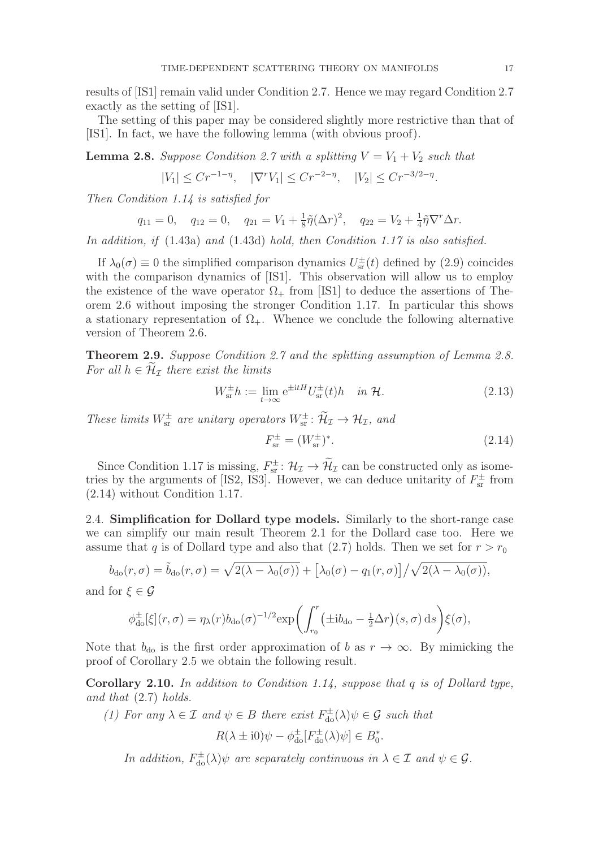results of [IS1] remain valid under Condition 2.7. Hence we may regard Condition 2.7 exactly as the setting of [IS1].

The setting of this paper may be considered slightly more restrictive than that of [IS1]. In fact, we have the following lemma (with obvious proof).

**Lemma 2.8.** Suppose Condition 2.7 with a splitting  $V = V_1 + V_2$  such that

$$
|V_1| \le Cr^{-1-\eta}, \quad |\nabla^r V_1| \le Cr^{-2-\eta}, \quad |V_2| \le Cr^{-3/2-\eta}.
$$

Then Condition 1.14 is satisfied for

$$
q_{11} = 0
$$
,  $q_{12} = 0$ ,  $q_{21} = V_1 + \frac{1}{8}\tilde{\eta}(\Delta r)^2$ ,  $q_{22} = V_2 + \frac{1}{4}\tilde{\eta}\nabla^r\Delta r$ .

In addition, if (1.43a) and (1.43d) hold, then Condition 1.17 is also satisfied.

If  $\lambda_0(\sigma) \equiv 0$  the simplified comparison dynamics  $U_{\rm sr}^{\pm}(t)$  defined by (2.9) coincides with the comparison dynamics of [IS1]. This observation will allow us to employ the existence of the wave operator  $\Omega_{+}$  from [IS1] to deduce the assertions of Theorem 2.6 without imposing the stronger Condition 1.17. In particular this shows a stationary representation of  $\Omega_{+}$ . Whence we conclude the following alternative version of Theorem 2.6.

Theorem 2.9. Suppose Condition 2.7 and the splitting assumption of Lemma 2.8. For all  $h \in \mathcal{H}_{\mathcal{I}}$  there exist the limits

$$
W_{\rm sr}^{\pm}h := \lim_{t \to \infty} e^{\pm itH} U_{\rm sr}^{\pm}(t)h \quad in \ \mathcal{H}.
$$
 (2.13)

These limits  $W_{sr}^{\pm}$  are unitary operators  $W_{sr}^{\pm}$ :  $\mathcal{H}_{\mathcal{I}} \to \mathcal{H}_{\mathcal{I}}$ , and

$$
F_{\rm sr}^{\pm} = (W_{\rm sr}^{\pm})^*.
$$
 (2.14)

Since Condition 1.17 is missing,  $F_{\text{sr}}^{\pm}$ :  $\mathcal{H}_{\mathcal{I}} \to \mathcal{H}_{\mathcal{I}}$  can be constructed only as isometries by the arguments of [IS2, IS3]. However, we can deduce unitarity of  $F_{\rm sr}^{\pm}$  from (2.14) without Condition 1.17.

2.4. Simplification for Dollard type models. Similarly to the short-range case we can simplify our main result Theorem 2.1 for the Dollard case too. Here we assume that q is of Dollard type and also that (2.7) holds. Then we set for  $r > r_0$ 

$$
b_{\text{do}}(r,\sigma) = \tilde{b}_{\text{do}}(r,\sigma) = \sqrt{2(\lambda - \lambda_0(\sigma))} + [\lambda_0(\sigma) - q_1(r,\sigma)] / \sqrt{2(\lambda - \lambda_0(\sigma))},
$$

and for  $\xi \in \mathcal{G}$ 

$$
\phi_{\text{do}}^{\pm}[\xi](r,\sigma) = \eta_{\lambda}(r)b_{\text{do}}(\sigma)^{-1/2} \exp\left(\int_{r_0}^r(\pm i b_{\text{do}} - \frac{1}{2}\Delta r)(s,\sigma)\,\mathrm{d}s\right)\xi(\sigma),
$$

Note that  $b_{d\alpha}$  is the first order approximation of b as  $r \to \infty$ . By mimicking the proof of Corollary 2.5 we obtain the following result.

**Corollary 2.10.** In addition to Condition 1.14, suppose that q is of Dollard type, and that (2.7) holds.

(1) For any  $\lambda \in \mathcal{I}$  and  $\psi \in B$  there exist  $F_{d\alpha}^{\pm}(\lambda)\psi \in \mathcal{G}$  such that

$$
R(\lambda \pm i0)\psi - \phi_{\text{do}}^{\pm}[F_{\text{do}}^{\pm}(\lambda)\psi] \in B_0^*.
$$

In addition,  $F_{\text{do}}^{\pm}(\lambda)\psi$  are separately continuous in  $\lambda \in \mathcal{I}$  and  $\psi \in \mathcal{G}$ .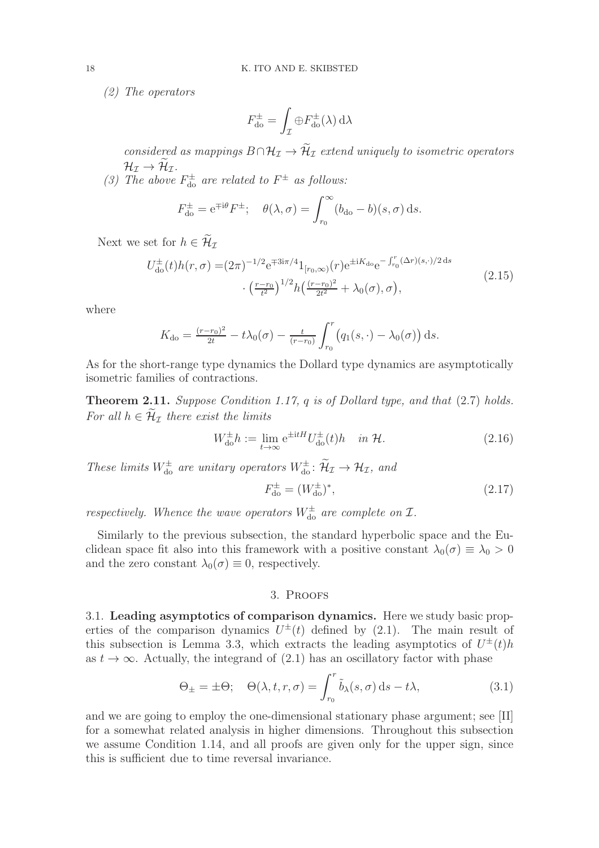(2) The operators

$$
F_{\rm do}^{\pm} = \int_{\mathcal{I}} \oplus F_{\rm do}^{\pm}(\lambda) \,\mathrm{d}\lambda
$$

considered as mappings  $B \cap \mathcal{H}_{\mathcal{I}} \to \widetilde{\mathcal{H}}_{\mathcal{I}}$  extend uniquely to isometric operators  $\mathcal{H}_{\mathcal{I}} \rightarrow \mathcal{H}_{\mathcal{I}}.$ 

(3) The above  $F_{\text{do}}^{\pm}$  are related to  $F^{\pm}$  as follows:

$$
F_{\rm do}^{\pm} = e^{\mp i\theta} F^{\pm}; \quad \theta(\lambda, \sigma) = \int_{r_0}^{\infty} (b_{\rm do} - b)(s, \sigma) \, \mathrm{d}s.
$$

Next we set for  $h \in \widetilde{\mathcal{H}}_{\mathcal{I}}$ 

$$
U_{\text{do}}^{\pm}(t)h(r,\sigma) = (2\pi)^{-1/2} e^{\mp 3i\pi/4} 1_{[r_0,\infty)}(r) e^{\pm iK_{\text{do}}} e^{-\int_{r_0}^r (\Delta r)(s,\cdot)/2 \,\text{d}s} \cdot \left(\frac{r-r_0}{t^2}\right)^{1/2} h\left(\frac{(r-r_0)^2}{2t^2} + \lambda_0(\sigma),\sigma\right),\tag{2.15}
$$

where

$$
K_{\rm do} = \frac{(r - r_0)^2}{2t} - t\lambda_0(\sigma) - \frac{t}{(r - r_0)} \int_{r_0}^r (q_1(s, \cdot) - \lambda_0(\sigma)) \, ds.
$$

As for the short-range type dynamics the Dollard type dynamics are asymptotically isometric families of contractions.

**Theorem 2.11.** Suppose Condition 1.17,  $q$  is of Dollard type, and that  $(2.7)$  holds. For all  $h \in \widetilde{\mathcal{H}}_{\mathcal{I}}$  there exist the limits

$$
W_{\text{do}}^{\pm}h := \lim_{t \to \infty} e^{\pm itH} U_{\text{do}}^{\pm}(t)h \quad \text{in } \mathcal{H}.
$$
 (2.16)

These limits  $W_{\text{do}}^{\pm}$  are unitary operators  $W_{\text{do}}^{\pm}$ :  $\widetilde{\mathcal{H}}_{\mathcal{I}} \to \mathcal{H}_{\mathcal{I}}$ , and

$$
F_{\rm do}^{\pm} = (W_{\rm do}^{\pm})^*,\tag{2.17}
$$

respectively. Whence the wave operators  $W_{\text{do}}^{\pm}$  are complete on  $\mathcal{I}$ .

Similarly to the previous subsection, the standard hyperbolic space and the Euclidean space fit also into this framework with a positive constant  $\lambda_0(\sigma) \equiv \lambda_0 > 0$ and the zero constant  $\lambda_0(\sigma) \equiv 0$ , respectively.

# 3. Proofs

3.1. Leading asymptotics of comparison dynamics. Here we study basic properties of the comparison dynamics  $U^{\pm}(t)$  defined by (2.1). The main result of this subsection is Lemma 3.3, which extracts the leading asymptotics of  $U^{\pm}(t)h$ as  $t \to \infty$ . Actually, the integrand of (2.1) has an oscillatory factor with phase

$$
\Theta_{\pm} = \pm \Theta; \quad \Theta(\lambda, t, r, \sigma) = \int_{r_0}^r \tilde{b}_{\lambda}(s, \sigma) \, \mathrm{d}s - t\lambda,\tag{3.1}
$$

and we are going to employ the one-dimensional stationary phase argument; see [II] for a somewhat related analysis in higher dimensions. Throughout this subsection we assume Condition 1.14, and all proofs are given only for the upper sign, since this is sufficient due to time reversal invariance.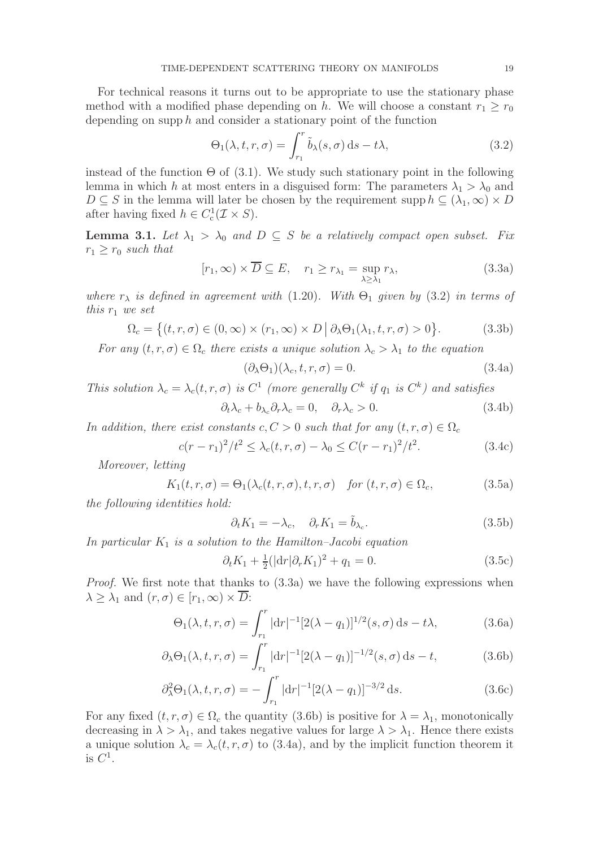For technical reasons it turns out to be appropriate to use the stationary phase method with a modified phase depending on h. We will choose a constant  $r_1 > r_0$ depending on supp h and consider a stationary point of the function

$$
\Theta_1(\lambda, t, r, \sigma) = \int_{r_1}^r \tilde{b}_{\lambda}(s, \sigma) \, ds - t\lambda,
$$
\n(3.2)

instead of the function  $\Theta$  of (3.1). We study such stationary point in the following lemma in which h at most enters in a disguised form: The parameters  $\lambda_1 > \lambda_0$  and  $D \subseteq S$  in the lemma will later be chosen by the requirement supp  $h \subseteq (\lambda_1, \infty) \times D$ after having fixed  $h \in C_c^1(\mathcal{I} \times S)$ .

**Lemma 3.1.** Let  $\lambda_1 > \lambda_0$  and  $D \subseteq S$  be a relatively compact open subset. Fix  $r_1 \geq r_0$  such that

$$
[r_1, \infty) \times \overline{D} \subseteq E, \quad r_1 \ge r_{\lambda_1} = \sup_{\lambda \ge \lambda_1} r_{\lambda}, \tag{3.3a}
$$

where  $r_{\lambda}$  is defined in agreement with (1.20). With  $\Theta_1$  given by (3.2) in terms of this  $r_1$  we set

$$
\Omega_c = \left\{ (t, r, \sigma) \in (0, \infty) \times (r_1, \infty) \times D \, \middle| \, \partial_{\lambda} \Theta_1(\lambda_1, t, r, \sigma) > 0 \right\}. \tag{3.3b}
$$

For any  $(t, r, \sigma) \in \Omega_c$  there exists a unique solution  $\lambda_c > \lambda_1$  to the equation

$$
(\partial_{\lambda}\Theta_1)(\lambda_c, t, r, \sigma) = 0.
$$
\n(3.4a)

This solution  $\lambda_c = \lambda_c(t, r, \sigma)$  is  $C^1$  (more generally  $C^k$  if  $q_1$  is  $C^k$ ) and satisfies

$$
\partial_t \lambda_c + b_{\lambda_c} \partial_r \lambda_c = 0, \quad \partial_r \lambda_c > 0. \tag{3.4b}
$$

In addition, there exist constants  $c, C > 0$  such that for any  $(t, r, \sigma) \in \Omega_c$ 

$$
c(r - r_1)^2 / t^2 \le \lambda_c(t, r, \sigma) - \lambda_0 \le C(r - r_1)^2 / t^2.
$$
 (3.4c)

Moreover, letting

$$
K_1(t, r, \sigma) = \Theta_1(\lambda_c(t, r, \sigma), t, r, \sigma) \quad \text{for } (t, r, \sigma) \in \Omega_c,
$$
\n(3.5a)

the following identities hold:

$$
\partial_t K_1 = -\lambda_c, \quad \partial_r K_1 = \tilde{b}_{\lambda_c}.
$$
\n(3.5b)

In particular  $K_1$  is a solution to the Hamilton–Jacobi equation

$$
\partial_t K_1 + \frac{1}{2} (|\mathrm{d}r| \partial_r K_1)^2 + q_1 = 0. \tag{3.5c}
$$

Proof. We first note that thanks to  $(3.3a)$  we have the following expressions when  $\lambda \geq \lambda_1$  and  $(r, \sigma) \in [r_1, \infty) \times \overline{D}$ :

$$
\Theta_1(\lambda, t, r, \sigma) = \int_{r_1}^r |\mathrm{d}r|^{-1} [2(\lambda - q_1)]^{1/2}(s, \sigma) \, \mathrm{d}s - t\lambda,\tag{3.6a}
$$

$$
\partial_{\lambda}\Theta_1(\lambda, t, r, \sigma) = \int_{r_1}^r |\mathrm{d}r|^{-1} [2(\lambda - q_1)]^{-1/2}(s, \sigma) \, \mathrm{d}s - t,\tag{3.6b}
$$

$$
\partial_{\lambda}^{2} \Theta_{1}(\lambda, t, r, \sigma) = -\int_{r_{1}}^{r} |dr|^{-1} [2(\lambda - q_{1})]^{-3/2} ds.
$$
 (3.6c)

For any fixed  $(t, r, \sigma) \in \Omega_c$  the quantity (3.6b) is positive for  $\lambda = \lambda_1$ , monotonically decreasing in  $\lambda > \lambda_1$ , and takes negative values for large  $\lambda > \lambda_1$ . Hence there exists a unique solution  $\lambda_c = \lambda_c(t, r, \sigma)$  to (3.4a), and by the implicit function theorem it is  $C^1$ .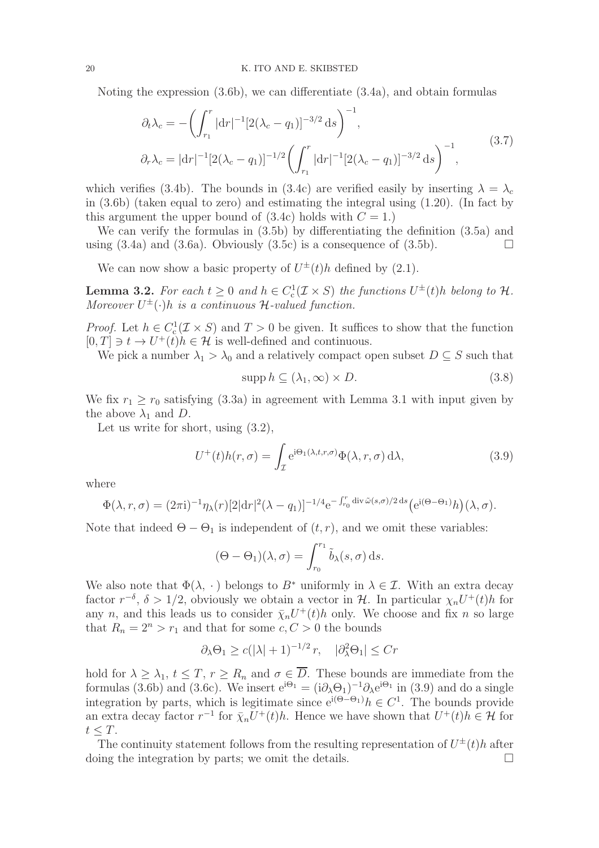Noting the expression (3.6b), we can differentiate (3.4a), and obtain formulas

$$
\partial_t \lambda_c = -\left(\int_{r_1}^r |\mathrm{d}r|^{-1} [2(\lambda_c - q_1)]^{-3/2} \,\mathrm{d}s\right)^{-1},
$$
  

$$
\partial_r \lambda_c = |\mathrm{d}r|^{-1} [2(\lambda_c - q_1)]^{-1/2} \left(\int_{r_1}^r |\mathrm{d}r|^{-1} [2(\lambda_c - q_1)]^{-3/2} \,\mathrm{d}s\right)^{-1},
$$
\n(3.7)

which verifies (3.4b). The bounds in (3.4c) are verified easily by inserting  $\lambda = \lambda_c$ in (3.6b) (taken equal to zero) and estimating the integral using (1.20). (In fact by this argument the upper bound of  $(3.4c)$  holds with  $C = 1$ .

We can verify the formulas in (3.5b) by differentiating the definition (3.5a) and using  $(3.4a)$  and  $(3.6a)$ . Obviously  $(3.5c)$  is a consequence of  $(3.5b)$ .

We can now show a basic property of  $U^{\pm}(t)h$  defined by (2.1).

**Lemma 3.2.** For each  $t \geq 0$  and  $h \in C_c^1(\mathcal{I} \times S)$  the functions  $U^{\pm}(t)h$  belong to  $\mathcal{H}$ . Moreover  $U^{\pm}(\cdot)h$  is a continuous H-valued function.

*Proof.* Let  $h \in C_c^1(\mathcal{I} \times S)$  and  $T > 0$  be given. It suffices to show that the function  $[0, T] \ni t \to U^+(t)h \in \mathcal{H}$  is well-defined and continuous.

We pick a number  $\lambda_1 > \lambda_0$  and a relatively compact open subset  $D \subseteq S$  such that

$$
supp h \subseteq (\lambda_1, \infty) \times D. \tag{3.8}
$$

We fix  $r_1 \ge r_0$  satisfying (3.3a) in agreement with Lemma 3.1 with input given by the above  $\lambda_1$  and D.

Let us write for short, using (3.2),

$$
U^+(t)h(r,\sigma) = \int_{\mathcal{I}} e^{i\Theta_1(\lambda,t,r,\sigma)} \Phi(\lambda,r,\sigma) d\lambda,
$$
\n(3.9)

where

$$
\Phi(\lambda, r, \sigma) = (2\pi i)^{-1} \eta_\lambda(r) [2\vert dr \vert^2 (\lambda - q_1)]^{-1/4} e^{-\int_{r_0}^r \text{div}\,\tilde{\omega}(s,\sigma)/2 \,ds} \Big(e^{i(\Theta - \Theta_1)}h\Big)(\lambda, \sigma).
$$

Note that indeed  $\Theta - \Theta_1$  is independent of  $(t, r)$ , and we omit these variables:

$$
(\Theta - \Theta_1)(\lambda, \sigma) = \int_{r_0}^{r_1} \tilde{b}_{\lambda}(s, \sigma) \,ds.
$$

We also note that  $\Phi(\lambda, \cdot)$  belongs to  $B^*$  uniformly in  $\lambda \in \mathcal{I}$ . With an extra decay factor  $r^{-\delta}$ ,  $\delta > 1/2$ , obviously we obtain a vector in H. In particular  $\chi_n U^+(t)h$  for any n, and this leads us to consider  $\bar{\chi}_n U^+(t)h$  only. We choose and fix n so large that  $R_n = 2^n > r_1$  and that for some  $c, C > 0$  the bounds

$$
\partial_{\lambda} \Theta_1 \geq c(|\lambda| + 1)^{-1/2} r, \quad |\partial_{\lambda}^2 \Theta_1| \leq Cr
$$

hold for  $\lambda \geq \lambda_1$ ,  $t \leq T$ ,  $r \geq R_n$  and  $\sigma \in D$ . These bounds are immediate from the formulas (3.6b) and (3.6c). We insert  $e^{i\Theta_1} = (i\partial_\lambda \Theta_1)^{-1} \partial_\lambda e^{i\Theta_1}$  in (3.9) and do a single integration by parts, which is legitimate since  $e^{i(\Theta - \Theta_1)}h \in C^1$ . The bounds provide an extra decay factor  $r^{-1}$  for  $\bar{\chi}_n U^+(t)h$ . Hence we have shown that  $U^+(t)h \in \mathcal{H}$  for  $t \leq T$ .

The continuity statement follows from the resulting representation of  $U^{\pm}(t)h$  after doing the integration by parts; we omit the details.  $\square$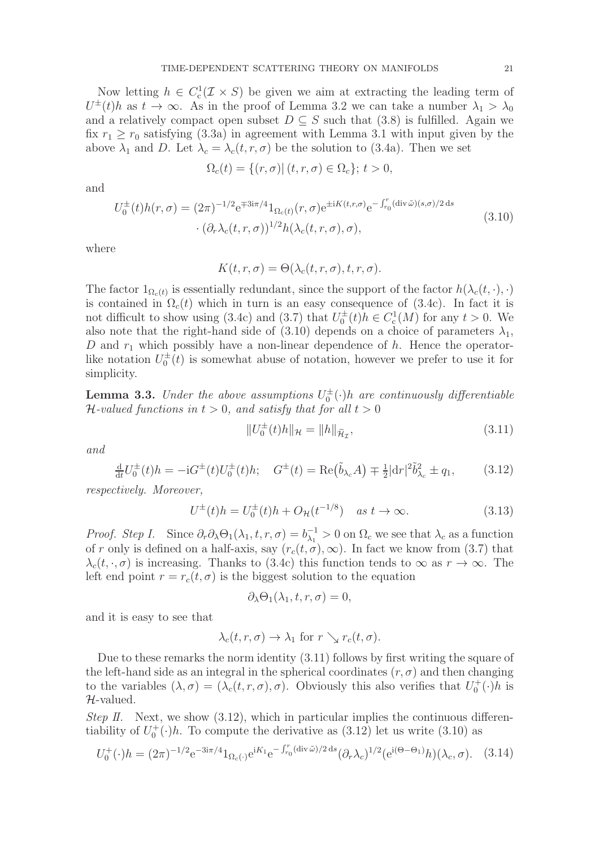Now letting  $h \in C_c^1(\mathcal{I} \times S)$  be given we aim at extracting the leading term of  $U^{\pm}(t)h$  as  $t \to \infty$ . As in the proof of Lemma 3.2 we can take a number  $\lambda_1 > \lambda_0$ and a relatively compact open subset  $D \subseteq S$  such that (3.8) is fulfilled. Again we fix  $r_1 \ge r_0$  satisfying (3.3a) in agreement with Lemma 3.1 with input given by the above  $\lambda_1$  and D. Let  $\lambda_c = \lambda_c(t, r, \sigma)$  be the solution to (3.4a). Then we set

$$
\Omega_c(t) = \{(r, \sigma) | (t, r, \sigma) \in \Omega_c\}; t > 0,
$$

and

$$
U_0^{\pm}(t)h(r,\sigma) = (2\pi)^{-1/2} e^{\mp 3i\pi/4} 1_{\Omega_c(t)}(r,\sigma) e^{\pm iK(t,r,\sigma)} e^{-\int_{r_0}^r (\text{div}\,\tilde{\omega})(s,\sigma)/2 \,ds}
$$
  

$$
\cdot (\partial_r \lambda_c(t,r,\sigma))^{1/2} h(\lambda_c(t,r,\sigma),\sigma),
$$
\n(3.10)

where

$$
K(t, r, \sigma) = \Theta(\lambda_c(t, r, \sigma), t, r, \sigma).
$$

The factor  $1_{\Omega_c(t)}$  is essentially redundant, since the support of the factor  $h(\lambda_c(t, \cdot), \cdot)$ is contained in  $\Omega_c(t)$  which in turn is an easy consequence of (3.4c). In fact it is not difficult to show using (3.4c) and (3.7) that  $U_0^{\pm}(t)h \in C_c^1(M)$  for any  $t > 0$ . We also note that the right-hand side of (3.10) depends on a choice of parameters  $\lambda_1$ , D and  $r_1$  which possibly have a non-linear dependence of h. Hence the operatorlike notation  $U_0^{\pm}(t)$  is somewhat abuse of notation, however we prefer to use it for simplicity.

**Lemma 3.3.** Under the above assumptions  $U_0^{\pm}(\cdot)$  are continuously differentiable  $\mathcal{H}\text{-}valued$  functions in  $t > 0$ , and satisfy that for all  $t > 0$ 

$$
||U_0^{\pm}(t)h||_{\mathcal{H}} = ||h||_{\widetilde{\mathcal{H}}_{\mathcal{I}}},\tag{3.11}
$$

and

$$
\frac{d}{dt}U_0^{\pm}(t)h = -iG^{\pm}(t)U_0^{\pm}(t)h; \quad G^{\pm}(t) = \text{Re}(\tilde{b}_{\lambda_c}A) \mp \frac{1}{2}|dr|^2 \tilde{b}_{\lambda_c}^2 \pm q_1,\tag{3.12}
$$

respectively. Moreover,

$$
U^{\pm}(t)h = U_0^{\pm}(t)h + O_{\mathcal{H}}(t^{-1/8}) \quad \text{as } t \to \infty.
$$
 (3.13)

*Proof. Step I.* Since  $\partial_r \partial_\lambda \Theta_1(\lambda_1, t, r, \sigma) = b_{\lambda_1}^{-1} > 0$  on  $\Omega_c$  we see that  $\lambda_c$  as a function of r only is defined on a half-axis, say  $(r_c(t, \sigma), \infty)$ . In fact we know from (3.7) that  $\lambda_c(t, \cdot, \sigma)$  is increasing. Thanks to (3.4c) this function tends to  $\infty$  as  $r \to \infty$ . The left end point  $r = r_c(t, \sigma)$  is the biggest solution to the equation

$$
\partial_{\lambda}\Theta_1(\lambda_1,t,r,\sigma)=0,
$$

and it is easy to see that

$$
\lambda_c(t,r,\sigma) \to \lambda_1 \text{ for } r \searrow r_c(t,\sigma).
$$

Due to these remarks the norm identity (3.11) follows by first writing the square of the left-hand side as an integral in the spherical coordinates  $(r, \sigma)$  and then changing to the variables  $(\lambda, \sigma) = (\lambda_c(t, r, \sigma), \sigma)$ . Obviously this also verifies that  $U_0^+(\cdot)h$  is H-valued.

Step II. Next, we show  $(3.12)$ , which in particular implies the continuous differentiability of  $U_0^+(\cdot)h$ . To compute the derivative as  $(3.12)$  let us write  $(3.10)$  as

$$
U_0^+(\cdot)h = (2\pi)^{-1/2} e^{-3i\pi/4} 1_{\Omega_c(\cdot)} e^{iK_1} e^{-\int_{r_0}^r (\text{div}\,\tilde{\omega})/2 \,ds} (\partial_r \lambda_c)^{1/2} (e^{i(\Theta - \Theta_1)} h)(\lambda_c, \sigma). \tag{3.14}
$$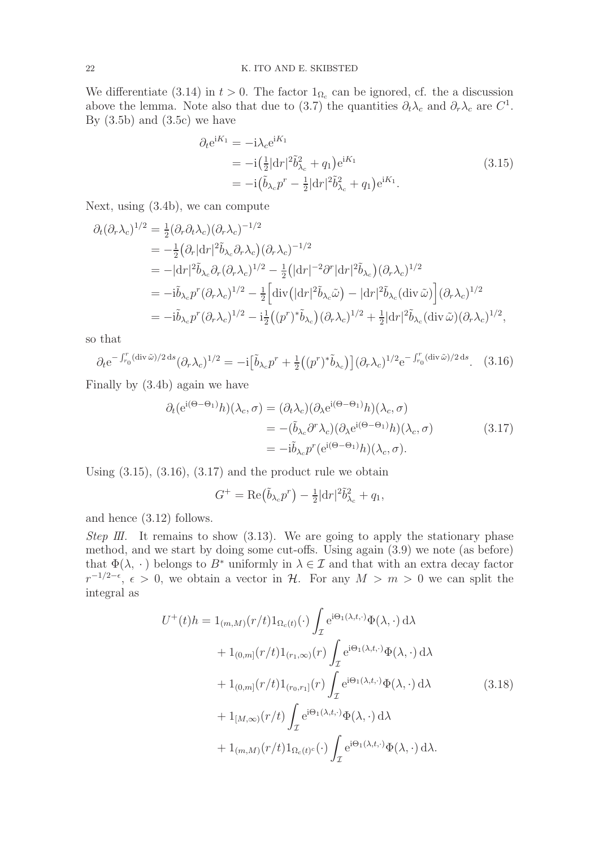We differentiate (3.14) in  $t > 0$ . The factor  $1_{\Omega_c}$  can be ignored, cf. the a discussion above the lemma. Note also that due to (3.7) the quantities  $\partial_t \lambda_c$  and  $\partial_r \lambda_c$  are  $C^1$ . By  $(3.5b)$  and  $(3.5c)$  we have

$$
\partial_t e^{iK_1} = -i\lambda_c e^{iK_1} \n= -i\left(\frac{1}{2}|dr|^2 \tilde{b}_{\lambda_c}^2 + q_1\right) e^{iK_1} \n= -i\left(\tilde{b}_{\lambda_c} p^r - \frac{1}{2}|dr|^2 \tilde{b}_{\lambda_c}^2 + q_1\right) e^{iK_1}.
$$
\n(3.15)

Next, using (3.4b), we can compute

$$
\partial_t(\partial_r \lambda_c)^{1/2} = \frac{1}{2} (\partial_r \partial_t \lambda_c) (\partial_r \lambda_c)^{-1/2}
$$
  
\n
$$
= -\frac{1}{2} (\partial_r |\mathrm{d}r|^2 \tilde{b}_{\lambda_c} \partial_r \lambda_c) (\partial_r \lambda_c)^{-1/2}
$$
  
\n
$$
= -|\mathrm{d}r|^2 \tilde{b}_{\lambda_c} \partial_r (\partial_r \lambda_c)^{1/2} - \frac{1}{2} (|\mathrm{d}r|^{-2} \partial^r |\mathrm{d}r|^2 \tilde{b}_{\lambda_c}) (\partial_r \lambda_c)^{1/2}
$$
  
\n
$$
= -i \tilde{b}_{\lambda_c} p^r (\partial_r \lambda_c)^{1/2} - \frac{1}{2} \Big[ \mathrm{div} (|\mathrm{d}r|^2 \tilde{b}_{\lambda_c} \tilde{\omega}) - |\mathrm{d}r|^2 \tilde{b}_{\lambda_c} (\mathrm{div} \tilde{\omega}) \Big] (\partial_r \lambda_c)^{1/2}
$$
  
\n
$$
= -i \tilde{b}_{\lambda_c} p^r (\partial_r \lambda_c)^{1/2} - i \frac{1}{2} ((p^r)^* \tilde{b}_{\lambda_c}) (\partial_r \lambda_c)^{1/2} + \frac{1}{2} |\mathrm{d}r|^2 \tilde{b}_{\lambda_c} (\mathrm{div} \tilde{\omega}) (\partial_r \lambda_c)^{1/2},
$$

so that

$$
\partial_t e^{-\int_{r_0}^r (\text{div}\,\tilde{\omega})/2 \,\text{d}s} (\partial_r \lambda_c)^{1/2} = -i \big[\tilde{b}_{\lambda_c} p^r + \frac{1}{2} \big((p^r)^* \tilde{b}_{\lambda_c}\big)\big] (\partial_r \lambda_c)^{1/2} e^{-\int_{r_0}^r (\text{div}\,\tilde{\omega})/2 \,\text{d}s}.\tag{3.16}
$$

Finally by (3.4b) again we have

$$
\partial_t (e^{i(\Theta - \Theta_1)} h)(\lambda_c, \sigma) = (\partial_t \lambda_c) (\partial_\lambda e^{i(\Theta - \Theta_1)} h)(\lambda_c, \sigma)
$$
  
= 
$$
-(\tilde{b}_{\lambda_c} \partial^r \lambda_c) (\partial_\lambda e^{i(\Theta - \Theta_1)} h)(\lambda_c, \sigma)
$$
  
= 
$$
-i\tilde{b}_{\lambda_c} p^r (e^{i(\Theta - \Theta_1)} h)(\lambda_c, \sigma).
$$
 (3.17)

Using  $(3.15)$ ,  $(3.16)$ ,  $(3.17)$  and the product rule we obtain

$$
G^+ = \text{Re}(\tilde{b}_{\lambda_c}p^r) - \frac{1}{2}|\mathrm{d}r|^2\tilde{b}_{\lambda_c}^2 + q_1,
$$

and hence (3.12) follows.

Step III. It remains to show  $(3.13)$ . We are going to apply the stationary phase method, and we start by doing some cut-offs. Using again (3.9) we note (as before) that  $\Phi(\lambda, \cdot)$  belongs to  $B^*$  uniformly in  $\lambda \in \mathcal{I}$  and that with an extra decay factor  $r^{-1/2-\epsilon}, \epsilon > 0$ , we obtain a vector in H. For any  $M > m > 0$  we can split the integral as

$$
U^{+}(t)h = 1_{(m,M)}(r/t)1_{\Omega_{c}(t)}(\cdot)\int_{\mathcal{I}} e^{i\Theta_{1}(\lambda,t,\cdot)}\Phi(\lambda,\cdot) d\lambda
$$
  
+ 1\_{(0,m]}(r/t)1\_{(r\_{1},\infty)}(r)\int\_{\mathcal{I}} e^{i\Theta\_{1}(\lambda,t,\cdot)}\Phi(\lambda,\cdot) d\lambda  
+ 1\_{(0,m]}(r/t)1\_{(r\_{0},r\_{1}]}(r)\int\_{\mathcal{I}} e^{i\Theta\_{1}(\lambda,t,\cdot)}\Phi(\lambda,\cdot) d\lambda  
+ 1\_{[M,\infty)}(r/t)\int\_{\mathcal{I}} e^{i\Theta\_{1}(\lambda,t,\cdot)}\Phi(\lambda,\cdot) d\lambda  
+ 1\_{(m,M)}(r/t)1\_{\Omega\_{c}(t)^{c}}(\cdot)\int\_{\mathcal{I}} e^{i\Theta\_{1}(\lambda,t,\cdot)}\Phi(\lambda,\cdot) d\lambda. (3.18)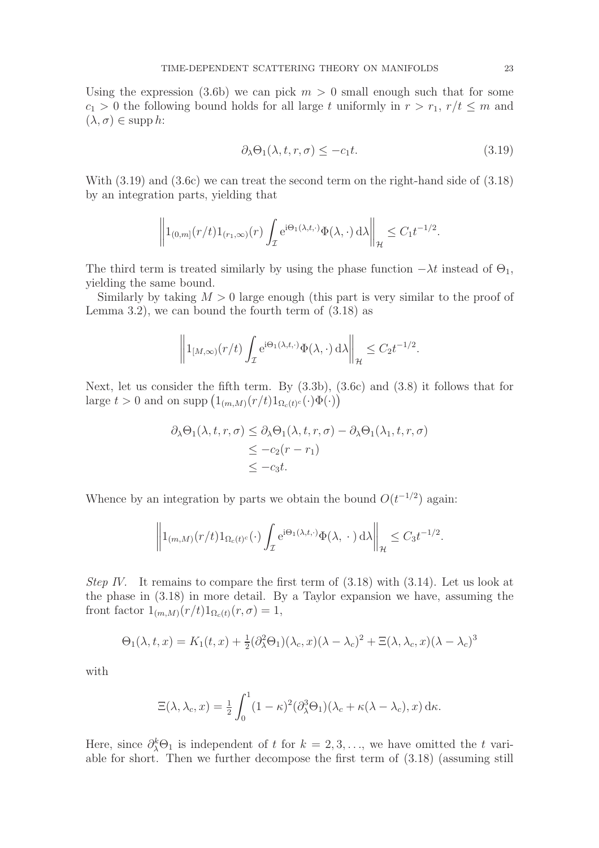Using the expression (3.6b) we can pick  $m > 0$  small enough such that for some  $c_1 > 0$  the following bound holds for all large t uniformly in  $r > r_1$ ,  $r/t \leq m$  and  $(\lambda, \sigma) \in \mathrm{supp}\, h$ :

$$
\partial_{\lambda}\Theta_1(\lambda, t, r, \sigma) \le -c_1 t. \tag{3.19}
$$

With (3.19) and (3.6c) we can treat the second term on the right-hand side of (3.18) by an integration parts, yielding that

$$
\left\|1_{(0,m]}(r/t)1_{(r_1,\infty)}(r)\int_{\mathcal{I}}e^{i\Theta_1(\lambda,t,\cdot)}\Phi(\lambda,\cdot)\,\mathrm{d}\lambda\right\|_{\mathcal{H}}\leq C_1t^{-1/2}.
$$

The third term is treated similarly by using the phase function  $-\lambda t$  instead of  $\Theta_1$ , yielding the same bound.

Similarly by taking  $M > 0$  large enough (this part is very similar to the proof of Lemma 3.2), we can bound the fourth term of  $(3.18)$  as

$$
\left\|1_{[M,\infty)}(r/t)\int_{\mathcal{I}}e^{i\Theta_1(\lambda,t,\cdot)}\Phi(\lambda,\cdot)\,\mathrm{d}\lambda\right\|_{\mathcal{H}}\leq C_2t^{-1/2}.
$$

Next, let us consider the fifth term. By (3.3b), (3.6c) and (3.8) it follows that for large  $t > 0$  and on supp  $\left( \mathbb{1}_{(m,M)}(r/t) \mathbb{1}_{\Omega_c(t)^c}(\cdot) \Phi(\cdot) \right)$ 

$$
\partial_{\lambda} \Theta_{1}(\lambda, t, r, \sigma) \leq \partial_{\lambda} \Theta_{1}(\lambda, t, r, \sigma) - \partial_{\lambda} \Theta_{1}(\lambda_{1}, t, r, \sigma)
$$
  
\n
$$
\leq -c_{2}(r - r_{1})
$$
  
\n
$$
\leq -c_{3}t.
$$

Whence by an integration by parts we obtain the bound  $O(t^{-1/2})$  again:

$$
\left\|1_{(m,M)}(r/t)1_{\Omega_c(t)^c}(\cdot)\int_{\mathcal{I}}e^{i\Theta_1(\lambda,t,\cdot)}\Phi(\lambda,\,\cdot\,)\,\mathrm{d}\lambda\right\|_{\mathcal{H}}\leq C_3t^{-1/2}.
$$

Step IV. It remains to compare the first term of  $(3.18)$  with  $(3.14)$ . Let us look at the phase in (3.18) in more detail. By a Taylor expansion we have, assuming the front factor  $1_{(m,M)}(r/t)1_{\Omega_c(t)}(r,\sigma)=1$ ,

$$
\Theta_1(\lambda, t, x) = K_1(t, x) + \frac{1}{2} (\partial_{\lambda}^2 \Theta_1)(\lambda_c, x) (\lambda - \lambda_c)^2 + \Xi(\lambda, \lambda_c, x) (\lambda - \lambda_c)^3
$$

with

$$
\Xi(\lambda, \lambda_c, x) = \frac{1}{2} \int_0^1 (1 - \kappa)^2 (\partial_{\lambda}^3 \Theta_1)(\lambda_c + \kappa(\lambda - \lambda_c), x) \, d\kappa.
$$

Here, since  $\partial_{\lambda}^{k}\Theta_{1}$  is independent of t for  $k = 2, 3, \ldots$ , we have omitted the t variable for short. Then we further decompose the first term of (3.18) (assuming still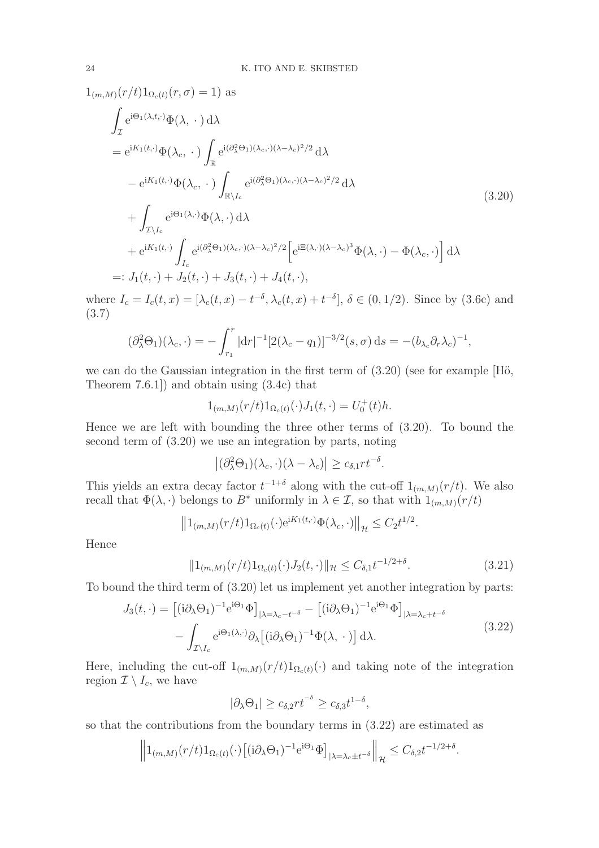$1_{(m,M)}(r/t)1_{\Omega_c(t)}(r,\sigma) = 1$ ) as

$$
\int_{\mathcal{I}} e^{i\Theta_{1}(\lambda, t, \cdot)} \Phi(\lambda, \cdot) d\lambda
$$
\n
$$
= e^{iK_{1}(t, \cdot)} \Phi(\lambda_{c}, \cdot) \int_{\mathbb{R}} e^{i(\partial_{\lambda}^{2}\Theta_{1})(\lambda_{c}, \cdot)(\lambda - \lambda_{c})^{2}/2} d\lambda
$$
\n
$$
- e^{iK_{1}(t, \cdot)} \Phi(\lambda_{c}, \cdot) \int_{\mathbb{R}\setminus I_{c}} e^{i(\partial_{\lambda}^{2}\Theta_{1})(\lambda_{c}, \cdot)(\lambda - \lambda_{c})^{2}/2} d\lambda
$$
\n
$$
+ \int_{\mathcal{I}\setminus I_{c}} e^{i\Theta_{1}(\lambda, \cdot)} \Phi(\lambda, \cdot) d\lambda
$$
\n
$$
+ e^{iK_{1}(t, \cdot)} \int_{I_{c}} e^{i(\partial_{\lambda}^{2}\Theta_{1})(\lambda_{c}, \cdot)(\lambda - \lambda_{c})^{2}/2} \left[e^{i\Xi(\lambda, \cdot)(\lambda - \lambda_{c})^{3}} \Phi(\lambda, \cdot) - \Phi(\lambda_{c}, \cdot)\right] d\lambda
$$
\n
$$
=: J_{1}(t, \cdot) + J_{2}(t, \cdot) + J_{3}(t, \cdot) + J_{4}(t, \cdot),
$$
\n(3.20)

where  $I_c = I_c(t, x) = [\lambda_c(t, x) - t^{-\delta}, \lambda_c(t, x) + t^{-\delta}], \delta \in (0, 1/2)$ . Since by (3.6c) and (3.7)

$$
(\partial_{\lambda}^{2} \Theta_{1})(\lambda_{c}, \cdot) = -\int_{r_{1}}^{r} |\mathrm{d}r|^{-1} [2(\lambda_{c} - q_{1})]^{-3/2} (s, \sigma) \, \mathrm{d}s = -(b_{\lambda_{c}} \partial_{r} \lambda_{c})^{-1},
$$

we can do the Gaussian integration in the first term of  $(3.20)$  (see for example [H $\ddot{o}$ , Theorem 7.6.1]) and obtain using (3.4c) that

$$
1_{(m,M)}(r/t)1_{\Omega_c(t)}(\cdot)J_1(t,\cdot)=U_0^+(t)h.
$$

Hence we are left with bounding the three other terms of (3.20). To bound the second term of (3.20) we use an integration by parts, noting

 $|(\partial_{\lambda}^{2} \Theta_{1})(\lambda_{c}, \cdot)(\lambda - \lambda_{c})| \geq c_{\delta,1} r t^{-\delta}.$ 

This yields an extra decay factor  $t^{-1+\delta}$  along with the cut-off  $1_{(m,M)}(r/t)$ . We also recall that  $\Phi(\lambda, \cdot)$  belongs to B<sup>\*</sup> uniformly in  $\lambda \in \mathcal{I}$ , so that with  $1_{(m,M)}(r/t)$ 

$$
||1_{(m,M)}(r/t)1_{\Omega_c(t)}(\cdot)e^{iK_1(t,\cdot)}\Phi(\lambda_c,\cdot)||_{\mathcal{H}} \leq C_2 t^{1/2}.
$$

Hence

$$
||1_{(m,M)}(r/t)1_{\Omega_c(t)}(\cdot)J_2(t,\cdot)||_{\mathcal{H}} \leq C_{\delta,1}t^{-1/2+\delta}.
$$
\n(3.21)

To bound the third term of (3.20) let us implement yet another integration by parts:

$$
J_3(t,\cdot) = [(\mathrm{i}\partial_{\lambda}\Theta_1)^{-1}\mathrm{e}^{\mathrm{i}\Theta_1}\Phi]_{|\lambda=\lambda_c-t^{-\delta}} - [(\mathrm{i}\partial_{\lambda}\Theta_1)^{-1}\mathrm{e}^{\mathrm{i}\Theta_1}\Phi]_{|\lambda=\lambda_c+t^{-\delta}}
$$

$$
- \int_{\mathcal{I}\backslash I_c} \mathrm{e}^{\mathrm{i}\Theta_1(\lambda,\cdot)}\partial_{\lambda} [(\mathrm{i}\partial_{\lambda}\Theta_1)^{-1}\Phi(\lambda,\cdot)] \,\mathrm{d}\lambda. \tag{3.22}
$$

Here, including the cut-off  $1_{(m,M)}(r/t)1_{\Omega_c(t)}(\cdot)$  and taking note of the integration region  $\mathcal{I} \setminus I_c$ , we have

$$
|\partial_{\lambda}\Theta_1|\geq c_{\delta,2}rt^{-\delta}\geq c_{\delta,3}t^{1-\delta},
$$

so that the contributions from the boundary terms in (3.22) are estimated as

$$
\left\|1_{(m,M)}(r/t)1_{\Omega_c(t)}(\cdot)\left[(i\partial_\lambda\Theta_1)^{-1}e^{i\Theta_1}\Phi\right]_{|\lambda=\lambda_c\pm t^{-\delta}}\right\|_{\mathcal{H}}\leq C_{\delta,2}t^{-1/2+\delta}.
$$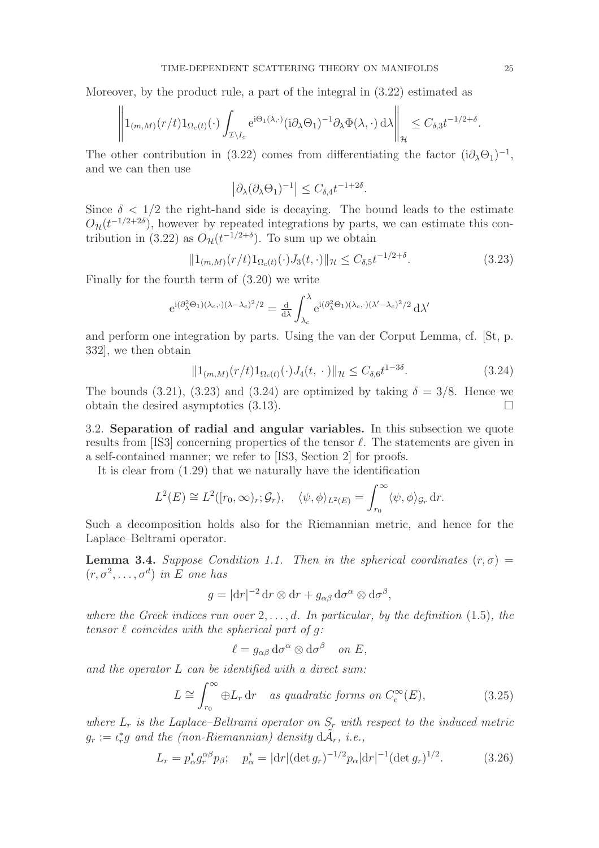Moreover, by the product rule, a part of the integral in (3.22) estimated as

$$
\left\|1_{(m,M)}(r/t)1_{\Omega_c(t)}(\cdot)\int_{\mathcal{I}\setminus I_c}e^{i\Theta_1(\lambda,\cdot)}(i\partial_\lambda\Theta_1)^{-1}\partial_\lambda\Phi(\lambda,\cdot)\,d\lambda\right\|_{\mathcal{H}}\leq C_{\delta,3}t^{-1/2+\delta}.
$$

The other contribution in (3.22) comes from differentiating the factor  $(i\partial_{\lambda}\Theta_1)^{-1}$ , and we can then use

$$
\left|\partial_{\lambda}(\partial_{\lambda}\Theta_1)^{-1}\right| \leq C_{\delta,4}t^{-1+2\delta}.
$$

Since  $\delta$  < 1/2 the right-hand side is decaying. The bound leads to the estimate  $O_{\mathcal{H}}(t^{-1/2+2\delta})$ , however by repeated integrations by parts, we can estimate this contribution in (3.22) as  $O_{\mathcal{H}}(t^{-1/2+\delta})$ . To sum up we obtain

$$
||1_{(m,M)}(r/t)1_{\Omega_c(t)}(\cdot)J_3(t,\cdot)||_{\mathcal{H}} \leq C_{\delta,5}t^{-1/2+\delta}.\tag{3.23}
$$

Finally for the fourth term of (3.20) we write

$$
e^{i(\partial_{\lambda}^{2}\Theta_{1})(\lambda_{c},\cdot)(\lambda-\lambda_{c})^{2}/2}=\tfrac{d}{d\lambda}\int_{\lambda_{c}}^{\lambda}e^{i(\partial_{\lambda}^{2}\Theta_{1})(\lambda_{c},\cdot)(\lambda'-\lambda_{c})^{2}/2}\,d\lambda'
$$

and perform one integration by parts. Using the van der Corput Lemma, cf. [St, p. 332], we then obtain

$$
||1_{(m,M)}(r/t)1_{\Omega_c(t)}(\cdot)J_4(t,\cdot)||_{\mathcal{H}} \leq C_{\delta,6}t^{1-3\delta}.
$$
\n(3.24)

The bounds (3.21), (3.23) and (3.24) are optimized by taking  $\delta = 3/8$ . Hence we obtain the desired asymptotics  $(3.13)$ .

3.2. Separation of radial and angular variables. In this subsection we quote results from [IS3] concerning properties of the tensor  $\ell$ . The statements are given in a self-contained manner; we refer to [IS3, Section 2] for proofs.

It is clear from (1.29) that we naturally have the identification

$$
L^{2}(E) \cong L^{2}([r_{0}, \infty)_{r}; \mathcal{G}_{r}), \quad \langle \psi, \phi \rangle_{L^{2}(E)} = \int_{r_{0}}^{\infty} \langle \psi, \phi \rangle_{\mathcal{G}_{r}} dr.
$$

Such a decomposition holds also for the Riemannian metric, and hence for the Laplace–Beltrami operator.

**Lemma 3.4.** Suppose Condition 1.1. Then in the spherical coordinates  $(r, \sigma)$  =  $(r, \sigma^2, \ldots, \sigma^d)$  in E one has

$$
g = |\mathrm{d}r|^{-2} \mathrm{d}r \otimes \mathrm{d}r + g_{\alpha\beta} \mathrm{d}\sigma^{\alpha} \otimes \mathrm{d}\sigma^{\beta},
$$

where the Greek indices run over  $2, \ldots, d$ . In particular, by the definition (1.5), the tensor  $\ell$  coincides with the spherical part of g:

$$
\ell = g_{\alpha\beta} \, \mathrm{d}\sigma^{\alpha} \otimes \mathrm{d}\sigma^{\beta} \quad on \ E,
$$

and the operator L can be identified with a direct sum:

$$
L \cong \int_{r_0}^{\infty} \oplus L_r \, dr \quad \text{as quadratic forms on } C_c^{\infty}(E), \tag{3.25}
$$

where  $L_r$  is the Laplace–Beltrami operator on  $S_r$  with respect to the induced metric  $g_r := \iota_r^* g$  and the (non-Riemannian) density  $d\tilde{A}_r$ , i.e.,

$$
L_r = p^*_{\alpha} g_r^{\alpha \beta} p_{\beta}; \quad p^*_{\alpha} = |\mathrm{d}r| (\mathrm{det} \, g_r)^{-1/2} p_{\alpha} |\mathrm{d}r|^{-1} (\mathrm{det} \, g_r)^{1/2}.
$$
 (3.26)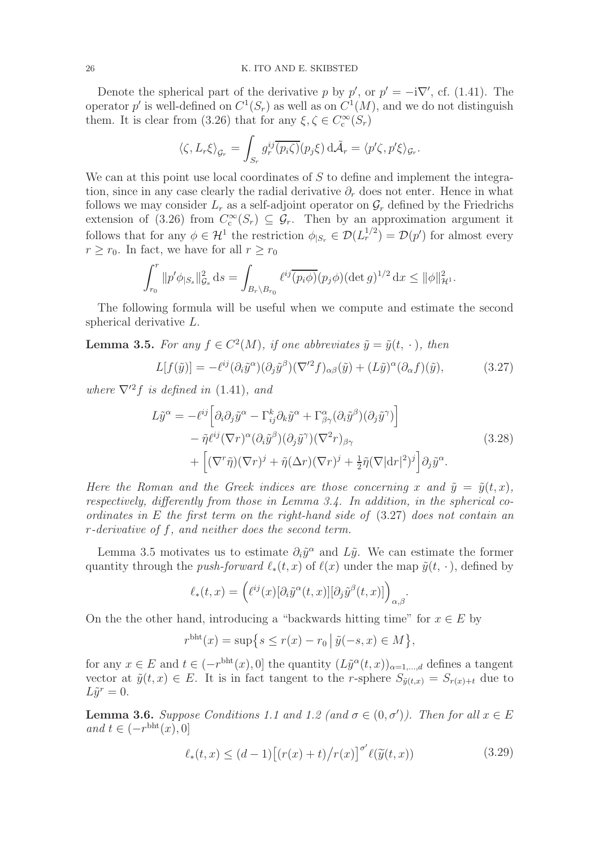Denote the spherical part of the derivative p by  $p'$ , or  $p' = -i\nabla'$ , cf. (1.41). The operator p' is well-defined on  $C^1(S_r)$  as well as on  $C^1(M)$ , and we do not distinguish them. It is clear from (3.26) that for any  $\xi, \zeta \in C_c^{\infty}(S_r)$ 

$$
\langle \zeta, L_r \xi \rangle_{\mathcal{G}_r} = \int_{S_r} g_r^{ij} \overline{(p_i \zeta)}(p_j \xi) \, d\tilde{\mathcal{A}}_r = \langle p' \zeta, p' \xi \rangle_{\mathcal{G}_r}.
$$

We can at this point use local coordinates of S to define and implement the integration, since in any case clearly the radial derivative  $\partial_r$  does not enter. Hence in what follows we may consider  $L_r$  as a self-adjoint operator on  $\mathcal{G}_r$  defined by the Friedrichs extension of (3.26) from  $C_c^{\infty}(S_r) \subseteq \mathcal{G}_r$ . Then by an approximation argument it follows that for any  $\phi \in \mathcal{H}^1$  the restriction  $\phi_{|S_r} \in \mathcal{D}(L_r^{1/2}) = \mathcal{D}(p')$  for almost every  $r \geq r_0$ . In fact, we have for all  $r \geq r_0$ 

$$
\int_{r_0}^r \|p'\phi_{|S_s}\|_{\mathcal{G}_s}^2 ds = \int_{B_r \backslash B_{r_0}} \ell^{ij} \overline{(p_i \phi)} (p_j \phi) (\det g)^{1/2} dx \leq \|\phi\|_{\mathcal{H}^1}^2.
$$

The following formula will be useful when we compute and estimate the second spherical derivative L.

**Lemma 3.5.** For any  $f \in C^2(M)$ , if one abbreviates  $\tilde{y} = \tilde{y}(t, \cdot)$ , then

$$
L[f(\tilde{y})] = -\ell^{ij}(\partial_i \tilde{y}^\alpha)(\partial_j \tilde{y}^\beta)(\nabla^{\prime 2} f)_{\alpha\beta}(\tilde{y}) + (L\tilde{y})^\alpha(\partial_\alpha f)(\tilde{y}),\tag{3.27}
$$

where  $\nabla^2 f$  is defined in (1.41), and

$$
L\tilde{y}^{\alpha} = -\ell^{ij} \left[ \partial_i \partial_j \tilde{y}^{\alpha} - \Gamma_{ij}^k \partial_k \tilde{y}^{\alpha} + \Gamma_{\beta \gamma}^{\alpha} (\partial_i \tilde{y}^{\beta}) (\partial_j \tilde{y}^{\gamma}) \right] - \tilde{\eta} \ell^{ij} (\nabla r)^{\alpha} (\partial_i \tilde{y}^{\beta}) (\partial_j \tilde{y}^{\gamma}) (\nabla^2 r)_{\beta \gamma} + \left[ (\nabla^r \tilde{\eta}) (\nabla r)^j + \tilde{\eta} (\Delta r) (\nabla r)^j + \frac{1}{2} \tilde{\eta} (\nabla |\mathrm{d} r|^2)^j \right] \partial_j \tilde{y}^{\alpha}.
$$
\n(3.28)

Here the Roman and the Greek indices are those concerning x and  $\tilde{y} = \tilde{y}(t, x)$ , respectively, differently from those in Lemma 3.4. In addition, in the spherical coordinates in E the first term on the right-hand side of (3.27) does not contain an r-derivative of f, and neither does the second term.

Lemma 3.5 motivates us to estimate  $\partial_i \tilde{y}^\alpha$  and  $L\tilde{y}$ . We can estimate the former quantity through the *push-forward*  $\ell_*(t, x)$  of  $\ell(x)$  under the map  $\tilde{y}(t, \cdot)$ , defined by

$$
\ell_*(t,x) = \left( \ell^{ij}(x) [\partial_i \tilde{y}^\alpha(t,x)] [\partial_j \tilde{y}^\beta(t,x)] \right)_{\alpha,\beta}.
$$

On the the other hand, introducing a "backwards hitting time" for  $x \in E$  by

$$
r^{\text{bht}}(x) = \sup \{ s \le r(x) - r_0 \, | \, \tilde{y}(-s, x) \in M \},
$$

for any  $x \in E$  and  $t \in (-r^{\text{bht}}(x), 0]$  the quantity  $(L\tilde{y}^{\alpha}(t, x))_{\alpha=1,\dots,d}$  defines a tangent vector at  $\tilde{y}(t, x) \in E$ . It is in fact tangent to the r-sphere  $S_{\tilde{y}(t,x)} = S_{r(x)+t}$  due to  $L\tilde{y}^r=0.$ 

**Lemma 3.6.** Suppose Conditions 1.1 and 1.2 (and  $\sigma \in (0, \sigma')$ ). Then for all  $x \in E$ and  $t \in (-r^{\text{bht}}(x), 0]$ 

$$
\ell_*(t,x) \le (d-1) \left[ (r(x) + t) / r(x) \right]^{\sigma'} \ell(\widetilde{y}(t,x)) \tag{3.29}
$$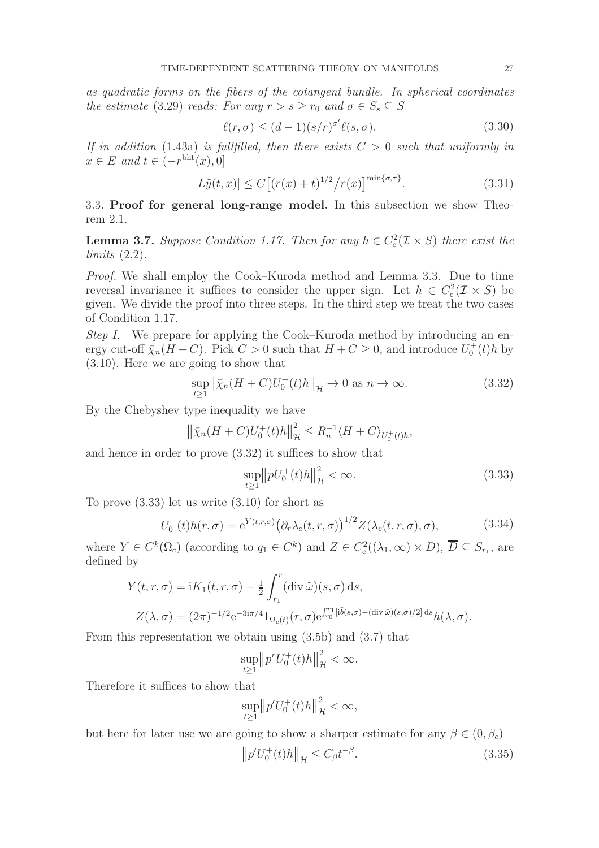as quadratic forms on the fibers of the cotangent bundle. In spherical coordinates the estimate (3.29) reads: For any  $r > s \ge r_0$  and  $\sigma \in S_s \subseteq S$ 

$$
\ell(r,\sigma) \le (d-1)(s/r)^{\sigma'} \ell(s,\sigma). \tag{3.30}
$$

If in addition (1.43a) is fullfilled, then there exists  $C > 0$  such that uniformly in  $x \in E$  and  $t \in (-r^{\text{bht}}(x), 0]$ 

$$
|L\tilde{y}(t,x)| \le C \left[ (r(x) + t)^{1/2} / r(x) \right]^{\min\{\sigma,\tau\}}.
$$
 (3.31)

3.3. Proof for general long-range model. In this subsection we show Theorem 2.1.

**Lemma 3.7.** Suppose Condition 1.17. Then for any  $h \in C_c^2(\mathcal{I} \times S)$  there exist the  $limits(2.2).$ 

Proof. We shall employ the Cook–Kuroda method and Lemma 3.3. Due to time reversal invariance it suffices to consider the upper sign. Let  $h \in C_c^2(\mathcal{I} \times S)$  be given. We divide the proof into three steps. In the third step we treat the two cases of Condition 1.17.

Step I. We prepare for applying the Cook–Kuroda method by introducing an energy cut-off  $\bar{\chi}_n(H+C)$ . Pick  $C > 0$  such that  $H+C \geq 0$ , and introduce  $U_0^+(t)h$  by (3.10). Here we are going to show that

$$
\sup_{t\geq 1} \left\| \bar{\chi}_n(H+C)U_0^+(t)h \right\|_{\mathcal{H}} \to 0 \text{ as } n \to \infty. \tag{3.32}
$$

By the Chebyshev type inequality we have

$$
\left\| \bar{\chi}_n(H+C)U_0^+(t)h \right\|_{\mathcal{H}}^2 \leq R_n^{-1} \langle H+C \rangle_{U_0^+(t)h},
$$

and hence in order to prove (3.32) it suffices to show that

$$
\sup_{t\geq 1} ||pU_0^+(t)h||_{\mathcal{H}}^2 < \infty.
$$
\n(3.33)

To prove (3.33) let us write (3.10) for short as

$$
U_0^+(t)h(r,\sigma) = e^{Y(t,r,\sigma)} (\partial_r \lambda_c(t,r,\sigma))^{1/2} Z(\lambda_c(t,r,\sigma),\sigma), \qquad (3.34)
$$

where  $Y \in C^k(\Omega_c)$  (according to  $q_1 \in C^k$ ) and  $Z \in C_c^2((\lambda_1, \infty) \times D)$ ,  $\overline{D} \subseteq S_{r_1}$ , are defined by

$$
Y(t,r,\sigma) = iK_1(t,r,\sigma) - \frac{1}{2} \int_{r_1}^r (\operatorname{div} \tilde{\omega})(s,\sigma) \, ds,
$$
  

$$
Z(\lambda,\sigma) = (2\pi)^{-1/2} e^{-3i\pi/4} 1_{\Omega_c(t)}(r,\sigma) e^{\int_{r_0}^{r_1} [i\tilde{b}(s,\sigma) - (\operatorname{div} \tilde{\omega})(s,\sigma)/2]} \, ds_h(\lambda,\sigma).
$$

From this representation we obtain using (3.5b) and (3.7) that

$$
\sup_{t\geq 1} \left\| p^r U_0^+(t)h \right\|_{\mathcal{H}}^2 < \infty.
$$

Therefore it suffices to show that

$$
\sup_{t\geq 1} ||p' U_0^+(t) h||_{\mathcal{H}}^2 < \infty,
$$

but here for later use we are going to show a sharper estimate for any  $\beta \in (0, \beta_c)$ 

$$
\left\|p'U_0^+(t)h\right\|_{\mathcal{H}} \le C_\beta t^{-\beta}.\tag{3.35}
$$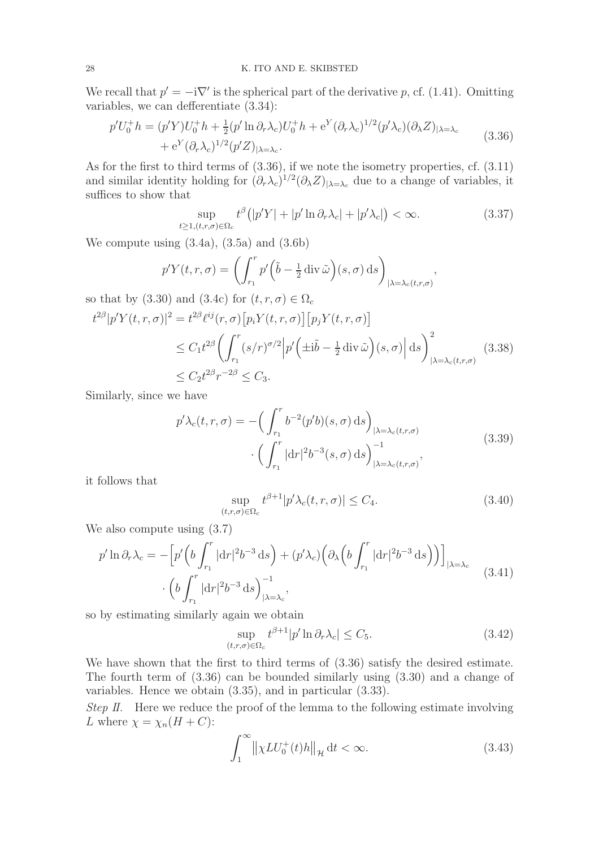We recall that  $p' = -i\nabla'$  is the spherical part of the derivative p, cf. (1.41). Omitting variables, we can defferentiate (3.34):

$$
p'U_0^+h = (p'Y)U_0^+h + \frac{1}{2}(p'\ln\partial_r\lambda_c)U_0^+h + e^Y(\partial_r\lambda_c)^{1/2}(p'\lambda_c)(\partial_\lambda Z)_{|\lambda = \lambda_c} + e^Y(\partial_r\lambda_c)^{1/2}(p'Z)_{|\lambda = \lambda_c}.
$$
 (3.36)

As for the first to third terms of (3.36), if we note the isometry properties, cf. (3.11) and similar identity holding for  $(\partial_r \lambda_c)^{1/2} (\partial_\lambda Z)_{|\lambda=\lambda_c}$  due to a change of variables, it suffices to show that

$$
\sup_{t \ge 1, (t, r, \sigma) \in \Omega_c} t^{\beta} \left( |p'Y| + |p' \ln \partial_r \lambda_c| + |p' \lambda_c| \right) < \infty. \tag{3.37}
$$

We compute using (3.4a), (3.5a) and (3.6b)

$$
p'Y(t,r,\sigma) = \left(\int_{r_1}^r p'\left(\tilde{b} - \frac{1}{2}\operatorname{div}\tilde{\omega}\right)(s,\sigma)\,\mathrm{d}s\right)_{|\lambda = \lambda_c(t,r,\sigma)},
$$

so that by (3.30) and (3.4c) for  $(t, r, \sigma) \in \Omega_c$ 

$$
t^{2\beta}|p'Y(t,r,\sigma)|^2 = t^{2\beta}\ell^{ij}(r,\sigma)\left[p_iY(t,r,\sigma)\right]\left[p_jY(t,r,\sigma)\right]
$$
  
\n
$$
\leq C_1 t^{2\beta} \left(\int_{r_1}^r (s/r)^{\sigma/2} \left|p'\left(\pm i\tilde{b} - \frac{1}{2} \operatorname{div} \tilde{\omega}\right)(s,\sigma)\right| ds\right)^2_{|\lambda = \lambda_c(t,r,\sigma)}
$$
  
\n
$$
\leq C_2 t^{2\beta} r^{-2\beta} \leq C_3.
$$
\n(3.38)

Similarly, since we have

$$
p'\lambda_c(t,r,\sigma) = -\left(\int_{r_1}^r b^{-2}(p'b)(s,\sigma) \,ds\right)_{|\lambda = \lambda_c(t,r,\sigma)}
$$

$$
\cdot \left(\int_{r_1}^r |dr|^2 b^{-3}(s,\sigma) \,ds\right)_{|\lambda = \lambda_c(t,r,\sigma)}^{-1},\tag{3.39}
$$

it follows that

$$
\sup_{(t,r,\sigma)\in\Omega_c} t^{\beta+1} |p'\lambda_c(t,r,\sigma)| \le C_4. \tag{3.40}
$$

We also compute using (3.7)

$$
p' \ln \partial_r \lambda_c = -\left[ p' \left( b \int_{r_1}^r |\mathrm{d}r|^2 b^{-3} \, \mathrm{d}s \right) + (p' \lambda_c) \left( \partial_\lambda \left( b \int_{r_1}^r |\mathrm{d}r|^2 b^{-3} \, \mathrm{d}s \right) \right) \right]_{|\lambda = \lambda_c} \cdot \left( b \int_{r_1}^r |\mathrm{d}r|^2 b^{-3} \, \mathrm{d}s \right)_{|\lambda = \lambda_c}^{-1}, \tag{3.41}
$$

so by estimating similarly again we obtain

$$
\sup_{(t,r,\sigma)\in\Omega_c} t^{\beta+1} |p' \ln \partial_r \lambda_c| \le C_5. \tag{3.42}
$$

We have shown that the first to third terms of (3.36) satisfy the desired estimate. The fourth term of (3.36) can be bounded similarly using (3.30) and a change of variables. Hence we obtain (3.35), and in particular (3.33).

Step II. Here we reduce the proof of the lemma to the following estimate involving L where  $\chi = \chi_n (H + C)$ :

$$
\int_{1}^{\infty} \left\| \chi LU_{0}^{+}(t)h \right\|_{\mathcal{H}} \mathrm{d}t < \infty. \tag{3.43}
$$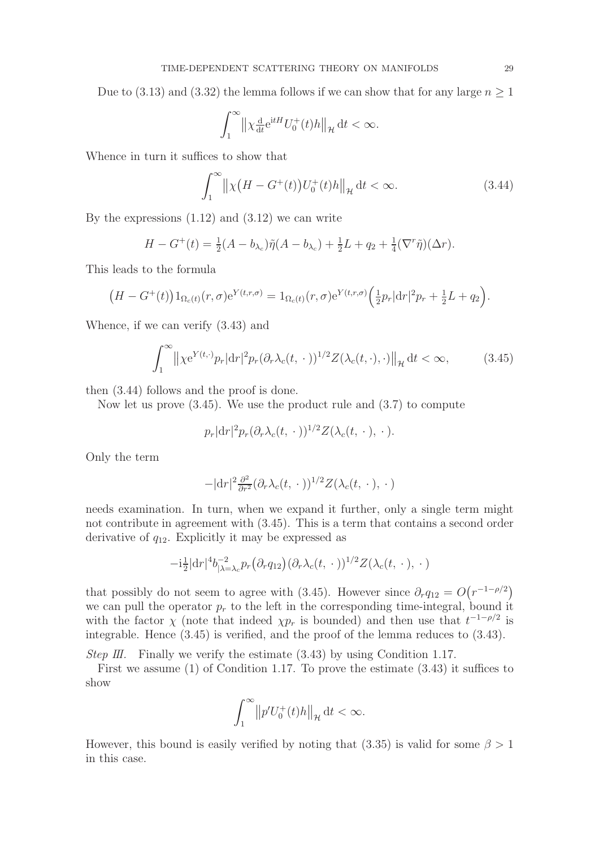Due to (3.13) and (3.32) the lemma follows if we can show that for any large  $n \geq 1$ 

$$
\int_1^\infty \left\| \chi_{\frac{d}{dt}}^\mathrm{d} e^{itH} U_0^+(t) h \right\|_{\mathcal{H}} \mathrm{d} t < \infty.
$$

Whence in turn it suffices to show that

$$
\int_{1}^{\infty} \left\| \chi \left( H - G^{+}(t) \right) U_{0}^{+}(t) h \right\|_{\mathcal{H}} \mathrm{d}t < \infty. \tag{3.44}
$$

By the expressions  $(1.12)$  and  $(3.12)$  we can write

$$
H - G^{+}(t) = \frac{1}{2}(A - b_{\lambda_c})\tilde{\eta}(A - b_{\lambda_c}) + \frac{1}{2}L + q_2 + \frac{1}{4}(\nabla^r \tilde{\eta})(\Delta r).
$$

This leads to the formula

$$
(H - G^{+}(t))1_{\Omega_c(t)}(r, \sigma)e^{Y(t, r, \sigma)} = 1_{\Omega_c(t)}(r, \sigma)e^{Y(t, r, \sigma)}\left(\frac{1}{2}p_r|dr|^2p_r + \frac{1}{2}L + q_2\right).
$$

Whence, if we can verify (3.43) and

$$
\int_{1}^{\infty} \left\| \chi e^{Y(t,\cdot)} p_r \right| dr \right\|^2 p_r \left( \partial_r \lambda_c(t,\,\cdot\,)\right)^{1/2} Z(\lambda_c(t,\cdot),\cdot) \left\|_{\mathcal{H}} \, \mathrm{d}t < \infty,\tag{3.45}
$$

then (3.44) follows and the proof is done.

Now let us prove  $(3.45)$ . We use the product rule and  $(3.7)$  to compute

$$
p_r |dr|^2 p_r (\partial_r \lambda_c(t,\,\cdot\,))^{1/2} Z(\lambda_c(t,\,\cdot\,),\,\cdot\,).
$$

Only the term

$$
-|\mathrm{d}r|^2\frac{\partial^2}{\partial r^2}(\partial_r\lambda_c(t,\,\cdot\,))^{1/2}Z(\lambda_c(t,\,\cdot\,),\,\cdot\,)
$$

needs examination. In turn, when we expand it further, only a single term might not contribute in agreement with (3.45). This is a term that contains a second order derivative of  $q_{12}$ . Explicitly it may be expressed as

$$
-i\frac{1}{2}|\mathrm{d}r|^4 b^{-2}_{|\lambda=\lambda_c} p_r(\partial_r q_{12})(\partial_r \lambda_c(t,\,\cdot\,))^{1/2} Z(\lambda_c(t,\,\cdot\,),\,\cdot\,)
$$

that possibly do not seem to agree with (3.45). However since  $\partial_r q_{12} = O(r^{-1-\rho/2})$ we can pull the operator  $p_r$  to the left in the corresponding time-integral, bound it with the factor  $\chi$  (note that indeed  $\chi p_r$  is bounded) and then use that  $t^{-1-\rho/2}$  is integrable. Hence (3.45) is verified, and the proof of the lemma reduces to (3.43).

*Step III.* Finally we verify the estimate  $(3.43)$  by using Condition 1.17.

First we assume (1) of Condition 1.17. To prove the estimate (3.43) it suffices to show

$$
\int_1^\infty \left\|p'U_0^+(t)h\right\|_{\mathcal{H}}\mathrm{d}t < \infty.
$$

However, this bound is easily verified by noting that (3.35) is valid for some  $\beta > 1$ in this case.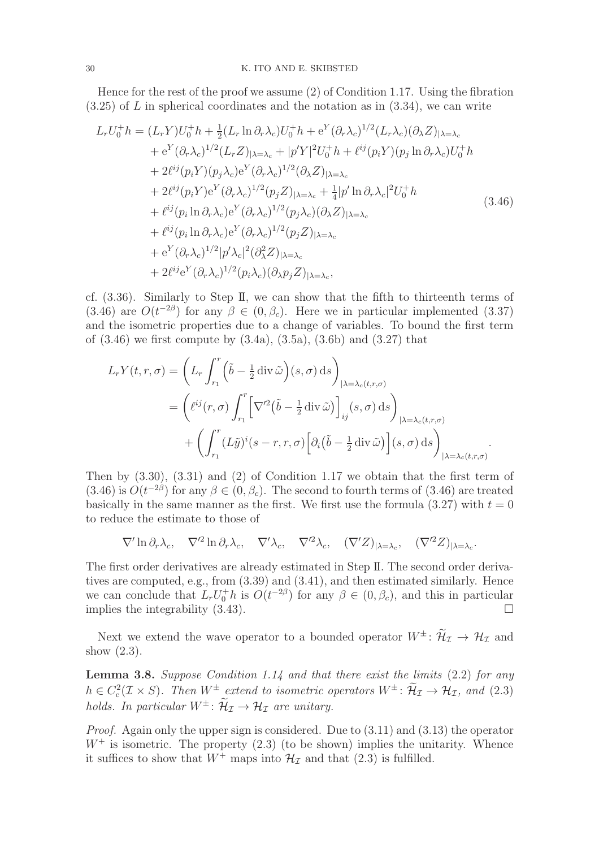Hence for the rest of the proof we assume (2) of Condition 1.17. Using the fibration  $(3.25)$  of L in spherical coordinates and the notation as in  $(3.34)$ , we can write

$$
L_r U_0^+ h = (L_r Y) U_0^+ h + \frac{1}{2} (L_r \ln \partial_r \lambda_c) U_0^+ h + e^Y (\partial_r \lambda_c)^{1/2} (L_r \lambda_c) (\partial_\lambda Z)_{|\lambda = \lambda_c}
$$
  
\n
$$
+ e^Y (\partial_r \lambda_c)^{1/2} (L_r Z)_{|\lambda = \lambda_c} + |p'Y|^2 U_0^+ h + \ell^{ij} (p_i Y) (p_j \ln \partial_r \lambda_c) U_0^+ h
$$
  
\n
$$
+ 2 \ell^{ij} (p_i Y) (p_j \lambda_c) e^Y (\partial_r \lambda_c)^{1/2} (\partial_\lambda Z)_{|\lambda = \lambda_c}
$$
  
\n
$$
+ 2 \ell^{ij} (p_i Y) e^Y (\partial_r \lambda_c)^{1/2} (p_j Z)_{|\lambda = \lambda_c} + \frac{1}{4} |p' \ln \partial_r \lambda_c|^2 U_0^+ h
$$
  
\n
$$
+ \ell^{ij} (p_i \ln \partial_r \lambda_c) e^Y (\partial_r \lambda_c)^{1/2} (p_j \lambda_c) (\partial_\lambda Z)_{|\lambda = \lambda_c}
$$
  
\n
$$
+ \ell^{ij} (p_i \ln \partial_r \lambda_c) e^Y (\partial_r \lambda_c)^{1/2} (p_j Z)_{|\lambda = \lambda_c}
$$
  
\n
$$
+ e^Y (\partial_r \lambda_c)^{1/2} |p' \lambda_c|^2 (\partial_\lambda^2 Z)_{|\lambda = \lambda_c}
$$
  
\n
$$
+ 2 \ell^{ij} e^Y (\partial_r \lambda_c)^{1/2} (p_i \lambda_c) (\partial_\lambda p_j Z)_{|\lambda = \lambda_c},
$$
  
\n(3.46)

cf. (3.36). Similarly to Step II, we can show that the fifth to thirteenth terms of (3.46) are  $O(t^{-2\beta})$  for any  $\beta \in (0, \beta_c)$ . Here we in particular implemented (3.37) and the isometric properties due to a change of variables. To bound the first term of  $(3.46)$  we first compute by  $(3.4a)$ ,  $(3.5a)$ ,  $(3.6b)$  and  $(3.27)$  that

$$
L_r Y(t, r, \sigma) = \left( L_r \int_{r_1}^r \left( \tilde{b} - \frac{1}{2} \operatorname{div} \tilde{\omega} \right) (s, \sigma) \, ds \right)_{|\lambda = \lambda_c(t, r, \sigma)}
$$
  
= 
$$
\left( \ell^{ij}(r, \sigma) \int_{r_1}^r \left[ \nabla'^2 \left( \tilde{b} - \frac{1}{2} \operatorname{div} \tilde{\omega} \right) \right]_{ij} (s, \sigma) \, ds \right)_{|\lambda = \lambda_c(t, r, \sigma)}
$$
  
+ 
$$
\left( \int_{r_1}^r (L\tilde{y})^i (s - r, r, \sigma) \left[ \partial_i \left( \tilde{b} - \frac{1}{2} \operatorname{div} \tilde{\omega} \right) \right] (s, \sigma) \, ds \right)_{|\lambda = \lambda_c(t, r, \sigma)}.
$$

Then by (3.30), (3.31) and (2) of Condition 1.17 we obtain that the first term of  $(3.46)$  is  $O(t^{-2\beta})$  for any  $\beta \in (0, \beta_c)$ . The second to fourth terms of  $(3.46)$  are treated basically in the same manner as the first. We first use the formula  $(3.27)$  with  $t = 0$ to reduce the estimate to those of

$$
\nabla' \ln \partial_r \lambda_c, \quad \nabla'^2 \ln \partial_r \lambda_c, \quad \nabla' \lambda_c, \quad \nabla'^2 \lambda_c, \quad (\nabla' Z)_{|\lambda = \lambda_c}, \quad (\nabla'^2 Z)_{|\lambda = \lambda_c}.
$$

The first order derivatives are already estimated in Step II. The second order derivatives are computed, e.g., from (3.39) and (3.41), and then estimated similarly. Hence we can conclude that  $L_r U_0^{\dagger} h$  is  $O(t^{-2\beta})$  for any  $\beta \in (0, \beta_c)$ , and this in particular implies the integrability  $(3.43)$ .

Next we extend the wave operator to a bounded operator  $W^{\pm}$ :  $\widetilde{\mathcal{H}}_{\mathcal{I}} \to \mathcal{H}_{\mathcal{I}}$  and show (2.3).

**Lemma 3.8.** Suppose Condition 1.14 and that there exist the limits  $(2.2)$  for any  $h \in C_{c}^{2}(\mathcal{I} \times S)$ . Then  $W^{\pm}$  extend to isometric operators  $W^{\pm}$ :  $\mathcal{H}_{\mathcal{I}} \to \mathcal{H}_{\mathcal{I}}$ , and (2.3) holds. In particular  $W^{\pm}$ :  $\widetilde{\mathcal{H}}_{\mathcal{I}} \to \mathcal{H}_{\mathcal{I}}$  are unitary.

*Proof.* Again only the upper sign is considered. Due to  $(3.11)$  and  $(3.13)$  the operator  $W^+$  is isometric. The property  $(2.3)$  (to be shown) implies the unitarity. Whence it suffices to show that  $W^+$  maps into  $\mathcal{H}_{\mathcal{I}}$  and that (2.3) is fulfilled.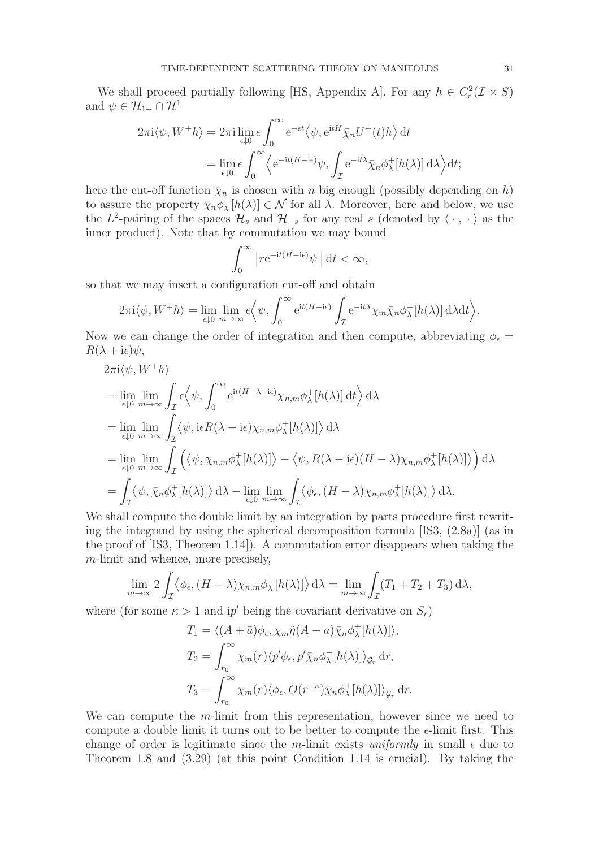We shall proceed partially following [HS, Appendix A]. For any  $h \in C_c^2(\mathcal{I} \times S)$ and  $\psi \in \mathcal{H}_{1+} \cap \mathcal{H}^1$ 

$$
2\pi i \langle \psi, W^+h \rangle = 2\pi i \lim_{\epsilon \downarrow 0} \epsilon \int_0^\infty e^{-\epsilon t} \langle \psi, e^{itH} \bar{\chi}_n U^+(t)h \rangle dt
$$
  
= 
$$
\lim_{\epsilon \downarrow 0} \epsilon \int_0^\infty \langle e^{-it(H - i\epsilon)} \psi, \int_{\mathcal{I}} e^{-it\lambda} \bar{\chi}_n \phi_\lambda^+[h(\lambda)] d\lambda \rangle dt;
$$

here the cut-off function  $\bar{\chi}_n$  is chosen with n big enough (possibly depending on h) to assure the property  $\bar{\chi}_n \phi_\lambda^+$  $\chi^+_{\lambda}[h(\lambda)] \in \mathcal{N}$  for all  $\lambda$ . Moreover, here and below, we use the L<sup>2</sup>-pairing of the spaces  $\mathcal{H}_s$  and  $\mathcal{H}_{-s}$  for any real s (denoted by  $\langle \cdot, \cdot \rangle$  as the inner product). Note that by commutation we may bound

$$
\int_0^\infty \left\| r e^{-it(H - i\epsilon)} \psi \right\| dt < \infty,
$$

so that we may insert a configuration cut-off and obtain

$$
2\pi i \langle \psi, W^+h \rangle = \lim_{\epsilon \downarrow 0} \lim_{m \to \infty} \epsilon \Big\langle \psi, \int_0^\infty e^{it(H+i\epsilon)} \int_{\mathcal{I}} e^{-it\lambda} \chi_m \bar{\chi}_n \phi_\lambda^+[h(\lambda)] \, d\lambda dt \Big\rangle.
$$

Now we can change the order of integration and then compute, abbreviating  $\phi_{\epsilon} =$  $R(\lambda + i\epsilon)\psi$ ,

$$
2\pi i \langle \psi, W^{+}h \rangle
$$
  
=  $\lim_{\epsilon \downarrow 0} \lim_{m \to \infty} \int_{\mathcal{I}} \epsilon \langle \psi, \int_{0}^{\infty} e^{it(H-\lambda + i\epsilon)} \chi_{n,m} \phi_{\lambda}^{+}[h(\lambda)] dt \rangle d\lambda$   
=  $\lim_{\epsilon \downarrow 0} \lim_{m \to \infty} \int_{\mathcal{I}} \langle \psi, i\epsilon R(\lambda - i\epsilon) \chi_{n,m} \phi_{\lambda}^{+}[h(\lambda)] \rangle d\lambda$   
=  $\lim_{\epsilon \downarrow 0} \lim_{m \to \infty} \int_{\mathcal{I}} \left( \langle \psi, \chi_{n,m} \phi_{\lambda}^{+}[h(\lambda)] \rangle - \langle \psi, R(\lambda - i\epsilon)(H - \lambda) \chi_{n,m} \phi_{\lambda}^{+}[h(\lambda)] \rangle \right) d\lambda$   
=  $\int_{\mathcal{I}} \langle \psi, \bar{\chi}_{n} \phi_{\lambda}^{+}[h(\lambda)] \rangle d\lambda - \lim_{\epsilon \downarrow 0} \lim_{m \to \infty} \int_{\mathcal{I}} \langle \phi_{\epsilon}, (H - \lambda) \chi_{n,m} \phi_{\lambda}^{+}[h(\lambda)] \rangle d\lambda.$ 

We shall compute the double limit by an integration by parts procedure first rewriting the integrand by using the spherical decomposition formula [IS3, (2.8a)] (as in the proof of [IS3, Theorem 1.14]). A commutation error disappears when taking the m-limit and whence, more precisely,

$$
\lim_{m \to \infty} 2 \int_{\mathcal{I}} \langle \phi_{\epsilon}, (H - \lambda) \chi_{n,m} \phi_{\lambda}^{+}[h(\lambda)] \rangle d\lambda = \lim_{m \to \infty} \int_{\mathcal{I}} (T_1 + T_2 + T_3) d\lambda,
$$

where (for some  $\kappa > 1$  and ip' being the covariant derivative on  $S_r$ )

$$
T_1 = \langle (A + \bar{a})\phi_{\epsilon}, \chi_m \tilde{\eta}(A - a)\bar{\chi}_n \phi_{\lambda}^+[h(\lambda)] \rangle,
$$
  
\n
$$
T_2 = \int_{r_0}^{\infty} \chi_m(r) \langle p'\phi_{\epsilon}, p'\bar{\chi}_n \phi_{\lambda}^+[h(\lambda)] \rangle_{\mathcal{G}_r} dr,
$$
  
\n
$$
T_3 = \int_{r_0}^{\infty} \chi_m(r) \langle \phi_{\epsilon}, O(r^{-\kappa})\bar{\chi}_n \phi_{\lambda}^+[h(\lambda)] \rangle_{\mathcal{G}_r} dr.
$$

We can compute the  $m$ -limit from this representation, however since we need to compute a double limit it turns out to be better to compute the  $\epsilon$ -limit first. This change of order is legitimate since the m-limit exists uniformly in small  $\epsilon$  due to Theorem 1.8 and (3.29) (at this point Condition 1.14 is crucial). By taking the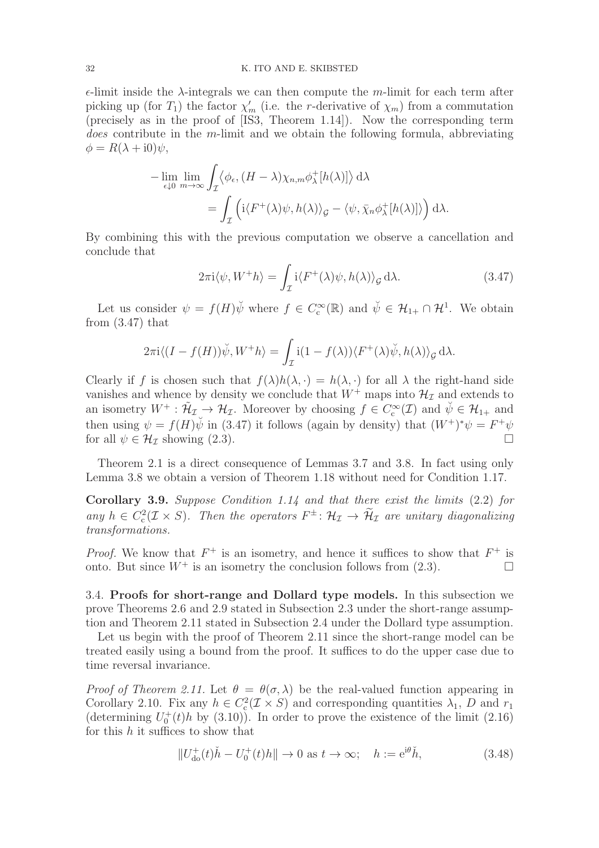$\epsilon$ -limit inside the  $\lambda$ -integrals we can then compute the m-limit for each term after picking up (for  $T_1$ ) the factor  $\chi'_m$  (i.e. the *r*-derivative of  $\chi_m$ ) from a commutation (precisely as in the proof of [IS3, Theorem 1.14]). Now the corresponding term does contribute in the m-limit and we obtain the following formula, abbreviating  $\phi = R(\lambda + i0)\psi,$ 

$$
-\lim_{\epsilon \downarrow 0} \lim_{m \to \infty} \int_{\mathcal{I}} \langle \phi_{\epsilon}, (H - \lambda) \chi_{n,m} \phi_{\lambda}^{+}[h(\lambda)] \rangle d\lambda
$$
  
= 
$$
\int_{\mathcal{I}} \left( i \langle F^{+}(\lambda) \psi, h(\lambda) \rangle_{\mathcal{G}} - \langle \psi, \bar{\chi}_{n} \phi_{\lambda}^{+}[h(\lambda)] \rangle \right) d\lambda.
$$

By combining this with the previous computation we observe a cancellation and conclude that

$$
2\pi i \langle \psi, W^+h \rangle = \int_{\mathcal{I}} i \langle F^+(\lambda)\psi, h(\lambda) \rangle_{\mathcal{G}} d\lambda.
$$
 (3.47)

Let us consider  $\psi = f(H)\check{\psi}$  where  $f \in C_c^{\infty}(\mathbb{R})$  and  $\check{\psi} \in \mathcal{H}_{1+} \cap \mathcal{H}^1$ . We obtain from  $(3.47)$  that

$$
2\pi i \langle (I - f(H))\breve{\psi}, W^+h \rangle = \int_{\mathcal{I}} i(1 - f(\lambda)) \langle F^+(\lambda)\breve{\psi}, h(\lambda) \rangle_{\mathcal{G}} d\lambda.
$$

Clearly if f is chosen such that  $f(\lambda)h(\lambda, \cdot) = h(\lambda, \cdot)$  for all  $\lambda$  the right-hand side vanishes and whence by density we conclude that  $W^+$  maps into  $\mathcal{H}_{\mathcal{I}}$  and extends to an isometry  $W^+ : \tilde{\mathcal{H}}_{\mathcal{I}} \to \mathcal{H}_{\mathcal{I}}$ . Moreover by choosing  $f \in C_c^{\infty}(\mathcal{I})$  and  $\psi \in \mathcal{H}_{1+}$  and then using  $\psi = f(H)\psi$  in (3.47) it follows (again by density) that  $(W^+)^*\psi = F^+\psi$ for all  $\psi \in \mathcal{H}_{\mathcal{T}}$  showing (2.3).

Theorem 2.1 is a direct consequence of Lemmas 3.7 and 3.8. In fact using only Lemma 3.8 we obtain a version of Theorem 1.18 without need for Condition 1.17.

Corollary 3.9. Suppose Condition 1.14 and that there exist the limits (2.2) for any  $h \in C_c^2(\mathcal{I} \times S)$ . Then the operators  $F^{\pm}$ :  $\mathcal{H}_{\mathcal{I}} \to \mathcal{H}_{\mathcal{I}}$  are unitary diagonalizing transformations.

*Proof.* We know that  $F^+$  is an isometry, and hence it suffices to show that  $F^+$  is onto. But since  $W^+$  is an isometry the conclusion follows from (2.3).

3.4. Proofs for short-range and Dollard type models. In this subsection we prove Theorems 2.6 and 2.9 stated in Subsection 2.3 under the short-range assumption and Theorem 2.11 stated in Subsection 2.4 under the Dollard type assumption.

Let us begin with the proof of Theorem 2.11 since the short-range model can be treated easily using a bound from the proof. It suffices to do the upper case due to time reversal invariance.

*Proof of Theorem 2.11.* Let  $\theta = \theta(\sigma, \lambda)$  be the real-valued function appearing in Corollary 2.10. Fix any  $h \in C_c^2(\mathcal{I} \times S)$  and corresponding quantities  $\lambda_1$ , D and  $r_1$ (determining  $U_0^+(t)h$  by (3.10)). In order to prove the existence of the limit (2.16) for this  $h$  it suffices to show that

$$
||U_{\text{do}}^+(t)\check{h} - U_0^+(t)h|| \to 0 \text{ as } t \to \infty; \quad h := e^{i\theta}\check{h},\tag{3.48}
$$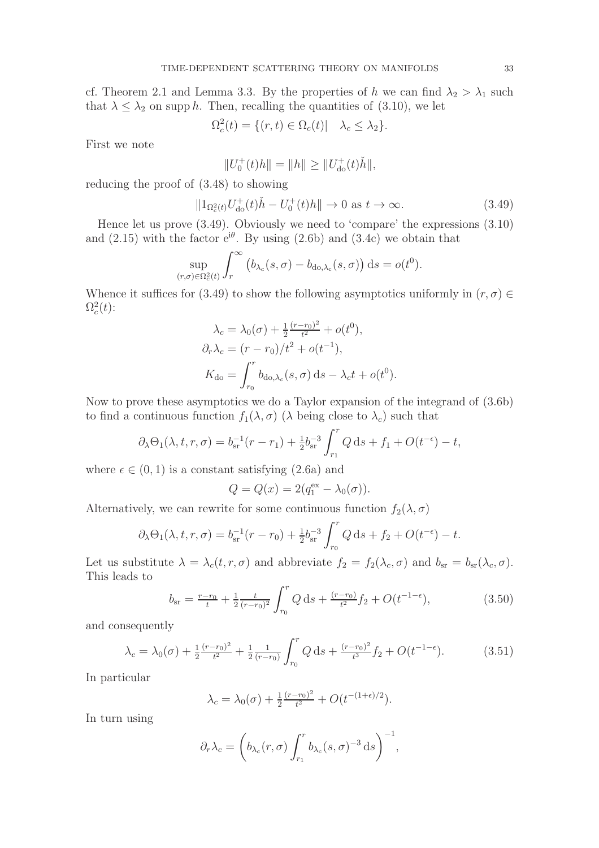cf. Theorem 2.1 and Lemma 3.3. By the properties of h we can find  $\lambda_2 > \lambda_1$  such that  $\lambda \leq \lambda_2$  on supp h. Then, recalling the quantities of (3.10), we let

$$
\Omega_c^2(t) = \{ (r, t) \in \Omega_c(t) | \quad \lambda_c \le \lambda_2 \}.
$$

First we note

$$
||U_0^+(t)h|| = ||h|| \ge ||U_{\text{do}}^+(t)\check{h}||,
$$

reducing the proof of (3.48) to showing

$$
||1_{\Omega_c^2(t)}U_{\text{do}}^+(t)\check{h} - U_0^+(t)h|| \to 0 \text{ as } t \to \infty.
$$
 (3.49)

Hence let us prove (3.49). Obviously we need to 'compare' the expressions (3.10) and  $(2.15)$  with the factor  $e^{i\theta}$ . By using  $(2.6b)$  and  $(3.4c)$  we obtain that

$$
\sup_{(r,\sigma)\in\Omega_c^2(t)} \int_r^\infty \left(b_{\lambda_c}(s,\sigma) - b_{\text{do},\lambda_c}(s,\sigma)\right) \mathrm{d}s = o(t^0).
$$

Whence it suffices for (3.49) to show the following asymptotics uniformly in  $(r, \sigma) \in$  $\Omega_c^2(t)$ :

$$
\lambda_c = \lambda_0(\sigma) + \frac{1}{2} \frac{(r - r_0)^2}{t^2} + o(t^0),
$$
  
\n
$$
\partial_r \lambda_c = (r - r_0)/t^2 + o(t^{-1}),
$$
  
\n
$$
K_{\rm do} = \int_{r_0}^r b_{\rm do,\lambda_c}(s,\sigma) \, \mathrm{d}s - \lambda_c t + o(t^0).
$$

Now to prove these asymptotics we do a Taylor expansion of the integrand of (3.6b) to find a continuous function  $f_1(\lambda, \sigma)$  ( $\lambda$  being close to  $\lambda_c$ ) such that

$$
\partial_{\lambda} \Theta_1(\lambda, t, r, \sigma) = b_{sr}^{-1}(r - r_1) + \frac{1}{2} b_{sr}^{-3} \int_{r_1}^r Q \, ds + f_1 + O(t^{-\epsilon}) - t,
$$

where  $\epsilon \in (0, 1)$  is a constant satisfying  $(2.6a)$  and

$$
Q = Q(x) = 2(q_1^{\text{ex}} - \lambda_0(\sigma)).
$$

Alternatively, we can rewrite for some continuous function  $f_2(\lambda, \sigma)$ 

$$
\partial_{\lambda} \Theta_1(\lambda, t, r, \sigma) = b_{\rm sr}^{-1}(r - r_0) + \frac{1}{2} b_{\rm sr}^{-3} \int_{r_0}^r Q \, ds + f_2 + O(t^{-\epsilon}) - t.
$$

Let us substitute  $\lambda = \lambda_c(t, r, \sigma)$  and abbreviate  $f_2 = f_2(\lambda_c, \sigma)$  and  $b_{sr} = b_{sr}(\lambda_c, \sigma)$ . This leads to

$$
b_{\rm sr} = \frac{r - r_0}{t} + \frac{1}{2} \frac{t}{(r - r_0)^2} \int_{r_0}^r Q \, \mathrm{d}s + \frac{(r - r_0)}{t^2} f_2 + O(t^{-1 - \epsilon}),\tag{3.50}
$$

and consequently

$$
\lambda_c = \lambda_0(\sigma) + \frac{1}{2} \frac{(r - r_0)^2}{t^2} + \frac{1}{2} \frac{1}{(r - r_0)} \int_{r_0}^r Q \, ds + \frac{(r - r_0)^2}{t^3} f_2 + O(t^{-1 - \epsilon}). \tag{3.51}
$$

In particular

$$
\lambda_c = \lambda_0(\sigma) + \frac{1}{2} \frac{(r - r_0)^2}{t^2} + O(t^{-(1 + \epsilon)/2}).
$$

In turn using

$$
\partial_r \lambda_c = \left( b_{\lambda_c}(r, \sigma) \int_{r_1}^r b_{\lambda_c}(s, \sigma)^{-3} \, \mathrm{d}s \right)^{-1},
$$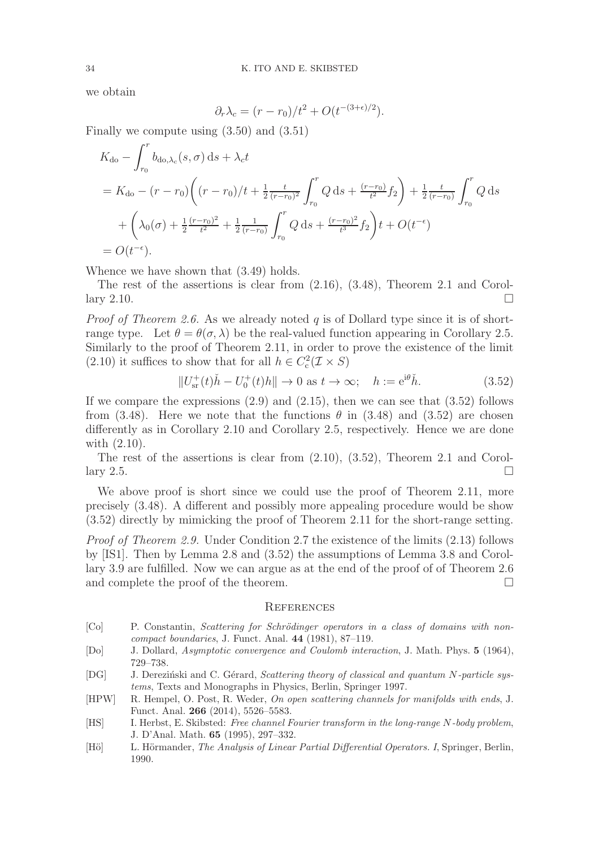we obtain

$$
\partial_r \lambda_c = (r - r_0)/t^2 + O(t^{-(3+\epsilon)/2}).
$$

Finally we compute using (3.50) and (3.51)

$$
K_{\text{do}} - \int_{r_0}^r b_{\text{do},\lambda_c}(s,\sigma) \, ds + \lambda_c t
$$
  
=  $K_{\text{do}} - (r - r_0) \left( (r - r_0) / t + \frac{1}{2} \frac{t}{(r - r_0)^2} \int_{r_0}^r Q \, ds + \frac{(r - r_0)}{t^2} f_2 \right) + \frac{1}{2} \frac{t}{(r - r_0)} \int_{r_0}^r Q \, ds$   
+  $\left( \lambda_0(\sigma) + \frac{1}{2} \frac{(r - r_0)^2}{t^2} + \frac{1}{2} \frac{1}{(r - r_0)} \int_{r_0}^r Q \, ds + \frac{(r - r_0)^2}{t^3} f_2 \right) t + O(t^{-\epsilon})$   
=  $O(t^{-\epsilon}).$ 

Whence we have shown that (3.49) holds.

The rest of the assertions is clear from (2.16), (3.48), Theorem 2.1 and Corollary 2.10.

*Proof of Theorem 2.6.* As we already noted q is of Dollard type since it is of shortrange type. Let  $\theta = \theta(\sigma, \lambda)$  be the real-valued function appearing in Corollary 2.5. Similarly to the proof of Theorem 2.11, in order to prove the existence of the limit (2.10) it suffices to show that for all  $h \in C_c^2(\mathcal{I} \times S)$ 

$$
||U_{\rm sr}^+(t)\check{h} - U_0^+(t)h|| \to 0 \text{ as } t \to \infty; \quad h := e^{i\theta}\check{h}.
$$
 (3.52)

If we compare the expressions  $(2.9)$  and  $(2.15)$ , then we can see that  $(3.52)$  follows from (3.48). Here we note that the functions  $\theta$  in (3.48) and (3.52) are chosen differently as in Corollary 2.10 and Corollary 2.5, respectively. Hence we are done with (2.10).

The rest of the assertions is clear from (2.10), (3.52), Theorem 2.1 and Corollary 2.5.

We above proof is short since we could use the proof of Theorem 2.11, more precisely (3.48). A different and possibly more appealing procedure would be show (3.52) directly by mimicking the proof of Theorem 2.11 for the short-range setting.

Proof of Theorem 2.9. Under Condition 2.7 the existence of the limits (2.13) follows by [IS1]. Then by Lemma 2.8 and (3.52) the assumptions of Lemma 3.8 and Corollary 3.9 are fulfilled. Now we can argue as at the end of the proof of of Theorem 2.6 and complete the proof of the theorem.

#### **REFERENCES**

- [Co] P. Constantin, Scattering for Schrödinger operators in a class of domains with noncompact boundaries, J. Funct. Anal. 44 (1981), 87–119.
- [Do] J. Dollard, Asymptotic convergence and Coulomb interaction, J. Math. Phys. 5 (1964), 729–738.
- [DG] J. Derezinski and C. Gérard, Scattering theory of classical and quantum N-particle systems, Texts and Monographs in Physics, Berlin, Springer 1997.
- [HPW] R. Hempel, O. Post, R. Weder, On open scattering channels for manifolds with ends, J. Funct. Anal. 266 (2014), 5526–5583.
- [HS] I. Herbst, E. Skibsted: Free channel Fourier transform in the long-range N-body problem, J. D'Anal. Math. 65 (1995), 297–332.
- [Hö] L. Hörmander, The Analysis of Linear Partial Differential Operators. I, Springer, Berlin, 1990.